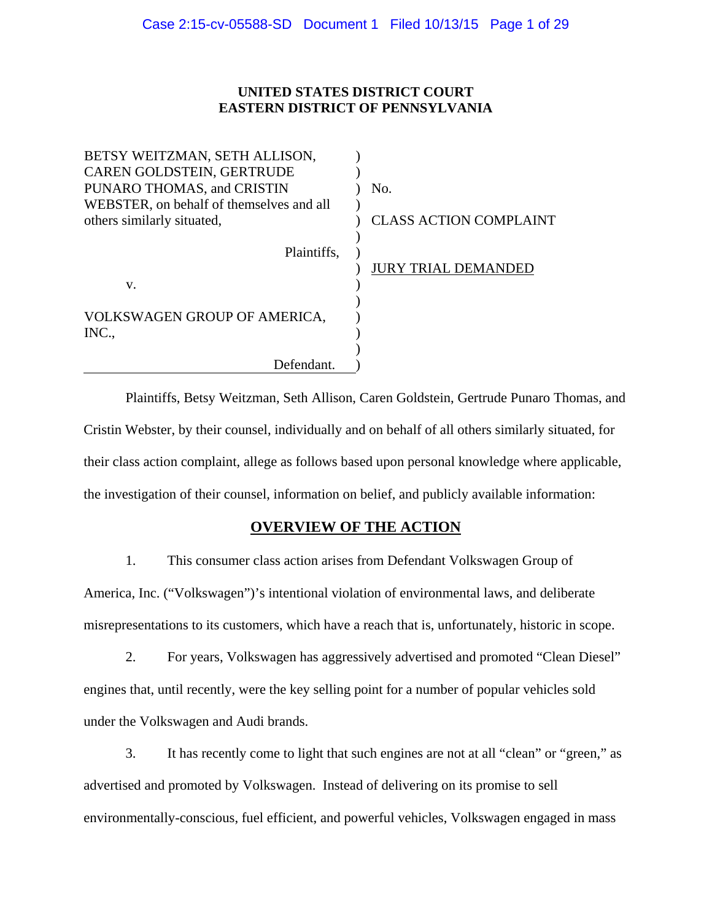### **UNITED STATES DISTRICT COURT EASTERN DISTRICT OF PENNSYLVANIA**

| No.                        |                               |
|----------------------------|-------------------------------|
|                            |                               |
|                            |                               |
|                            |                               |
|                            |                               |
| <b>JURY TRIAL DEMANDED</b> |                               |
|                            |                               |
|                            |                               |
|                            |                               |
|                            |                               |
|                            |                               |
|                            |                               |
|                            | <b>CLASS ACTION COMPLAINT</b> |

Plaintiffs, Betsy Weitzman, Seth Allison, Caren Goldstein, Gertrude Punaro Thomas, and Cristin Webster, by their counsel, individually and on behalf of all others similarly situated, for their class action complaint, allege as follows based upon personal knowledge where applicable, the investigation of their counsel, information on belief, and publicly available information:

## **OVERVIEW OF THE ACTION**

### 1. This consumer class action arises from Defendant Volkswagen Group of

America, Inc. ("Volkswagen")'s intentional violation of environmental laws, and deliberate misrepresentations to its customers, which have a reach that is, unfortunately, historic in scope.

2. For years, Volkswagen has aggressively advertised and promoted "Clean Diesel" engines that, until recently, were the key selling point for a number of popular vehicles sold under the Volkswagen and Audi brands.

3. It has recently come to light that such engines are not at all "clean" or "green," as advertised and promoted by Volkswagen. Instead of delivering on its promise to sell environmentally-conscious, fuel efficient, and powerful vehicles, Volkswagen engaged in mass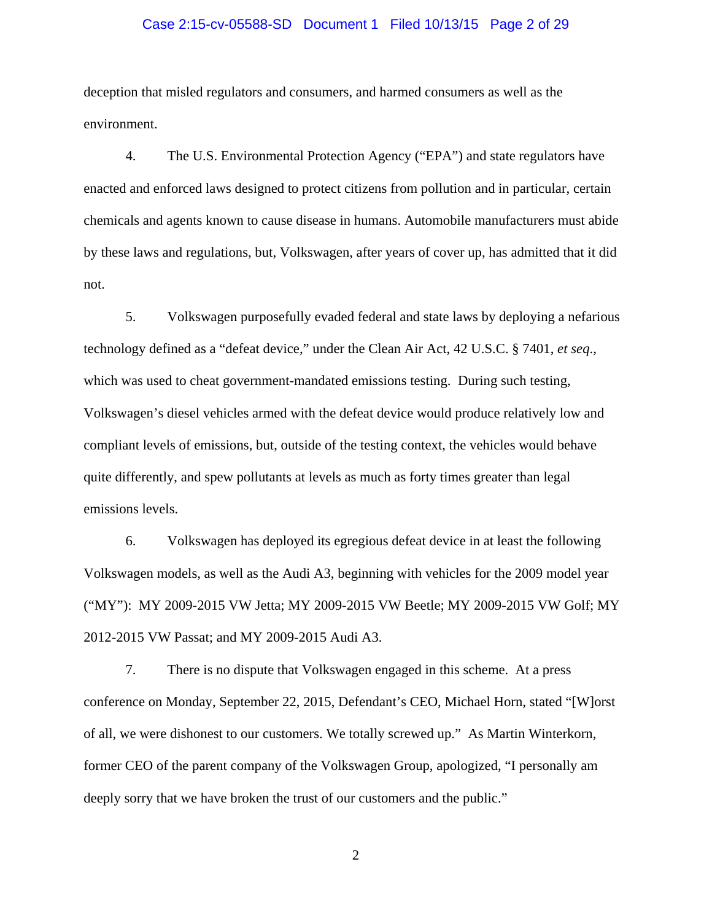### Case 2:15-cv-05588-SD Document 1 Filed 10/13/15 Page 2 of 29

deception that misled regulators and consumers, and harmed consumers as well as the environment.

4. The U.S. Environmental Protection Agency ("EPA") and state regulators have enacted and enforced laws designed to protect citizens from pollution and in particular, certain chemicals and agents known to cause disease in humans. Automobile manufacturers must abide by these laws and regulations, but, Volkswagen, after years of cover up, has admitted that it did not.

5. Volkswagen purposefully evaded federal and state laws by deploying a nefarious technology defined as a "defeat device," under the Clean Air Act, 42 U.S.C. § 7401, *et seq*.*,* which was used to cheat government-mandated emissions testing. During such testing, Volkswagen's diesel vehicles armed with the defeat device would produce relatively low and compliant levels of emissions, but, outside of the testing context, the vehicles would behave quite differently, and spew pollutants at levels as much as forty times greater than legal emissions levels.

6. Volkswagen has deployed its egregious defeat device in at least the following Volkswagen models, as well as the Audi A3, beginning with vehicles for the 2009 model year ("MY"): MY 2009-2015 VW Jetta; MY 2009-2015 VW Beetle; MY 2009-2015 VW Golf; MY 2012-2015 VW Passat; and MY 2009-2015 Audi A3.

7. There is no dispute that Volkswagen engaged in this scheme. At a press conference on Monday, September 22, 2015, Defendant's CEO, Michael Horn, stated "[W]orst of all, we were dishonest to our customers. We totally screwed up." As Martin Winterkorn, former CEO of the parent company of the Volkswagen Group, apologized, "I personally am deeply sorry that we have broken the trust of our customers and the public."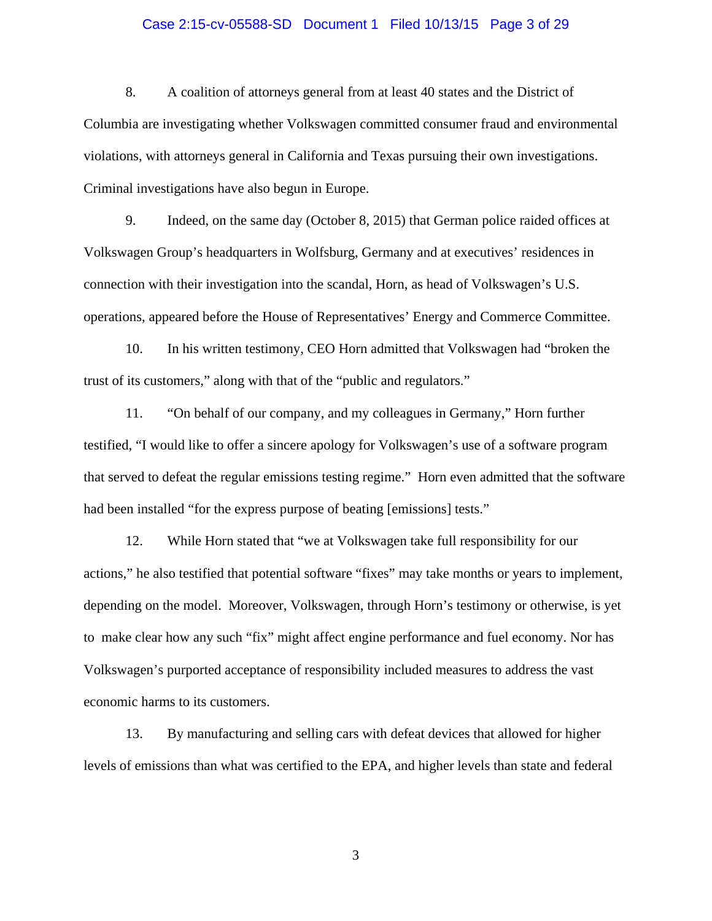### Case 2:15-cv-05588-SD Document 1 Filed 10/13/15 Page 3 of 29

8. A coalition of attorneys general from at least 40 states and the District of Columbia are investigating whether Volkswagen committed consumer fraud and environmental violations, with attorneys general in California and Texas pursuing their own investigations. Criminal investigations have also begun in Europe.

9. Indeed, on the same day (October 8, 2015) that German police raided offices at Volkswagen Group's headquarters in Wolfsburg, Germany and at executives' residences in connection with their investigation into the scandal, Horn, as head of Volkswagen's U.S. operations, appeared before the House of Representatives' Energy and Commerce Committee.

10. In his written testimony, CEO Horn admitted that Volkswagen had "broken the trust of its customers," along with that of the "public and regulators."

11. "On behalf of our company, and my colleagues in Germany," Horn further testified, "I would like to offer a sincere apology for Volkswagen's use of a software program that served to defeat the regular emissions testing regime." Horn even admitted that the software had been installed "for the express purpose of beating [emissions] tests."

12. While Horn stated that "we at Volkswagen take full responsibility for our actions," he also testified that potential software "fixes" may take months or years to implement, depending on the model. Moreover, Volkswagen, through Horn's testimony or otherwise, is yet to make clear how any such "fix" might affect engine performance and fuel economy. Nor has Volkswagen's purported acceptance of responsibility included measures to address the vast economic harms to its customers.

13. By manufacturing and selling cars with defeat devices that allowed for higher levels of emissions than what was certified to the EPA, and higher levels than state and federal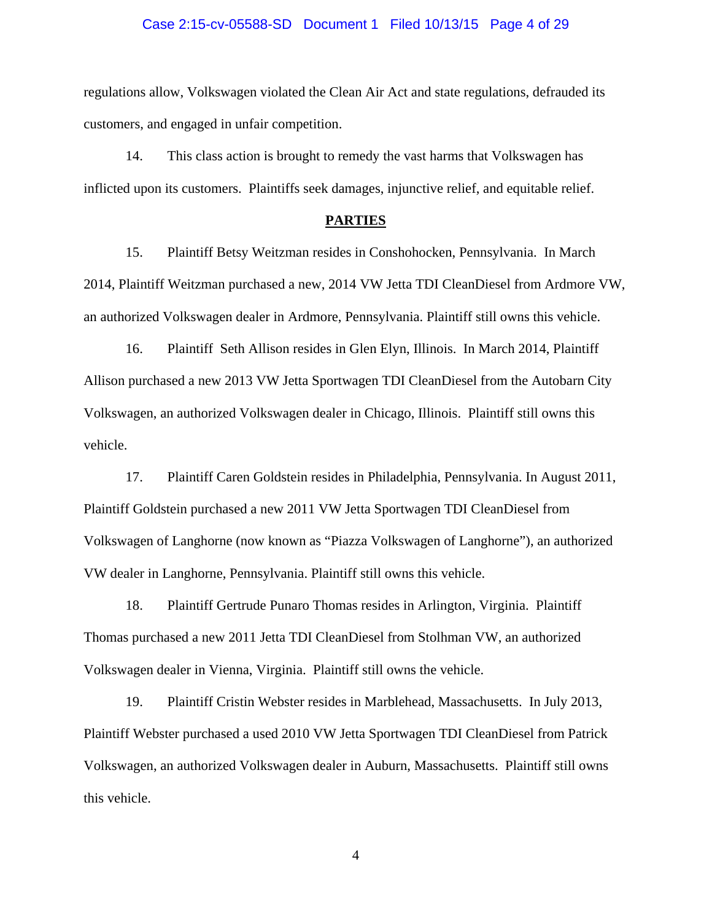### Case 2:15-cv-05588-SD Document 1 Filed 10/13/15 Page 4 of 29

regulations allow, Volkswagen violated the Clean Air Act and state regulations, defrauded its customers, and engaged in unfair competition.

14. This class action is brought to remedy the vast harms that Volkswagen has inflicted upon its customers. Plaintiffs seek damages, injunctive relief, and equitable relief.

### **PARTIES**

15. Plaintiff Betsy Weitzman resides in Conshohocken, Pennsylvania. In March 2014, Plaintiff Weitzman purchased a new, 2014 VW Jetta TDI CleanDiesel from Ardmore VW, an authorized Volkswagen dealer in Ardmore, Pennsylvania. Plaintiff still owns this vehicle.

16. Plaintiff Seth Allison resides in Glen Elyn, Illinois. In March 2014, Plaintiff Allison purchased a new 2013 VW Jetta Sportwagen TDI CleanDiesel from the Autobarn City Volkswagen, an authorized Volkswagen dealer in Chicago, Illinois. Plaintiff still owns this vehicle.

17. Plaintiff Caren Goldstein resides in Philadelphia, Pennsylvania. In August 2011, Plaintiff Goldstein purchased a new 2011 VW Jetta Sportwagen TDI CleanDiesel from Volkswagen of Langhorne (now known as "Piazza Volkswagen of Langhorne"), an authorized VW dealer in Langhorne, Pennsylvania. Plaintiff still owns this vehicle.

18. Plaintiff Gertrude Punaro Thomas resides in Arlington, Virginia. Plaintiff Thomas purchased a new 2011 Jetta TDI CleanDiesel from Stolhman VW, an authorized Volkswagen dealer in Vienna, Virginia. Plaintiff still owns the vehicle.

19. Plaintiff Cristin Webster resides in Marblehead, Massachusetts. In July 2013, Plaintiff Webster purchased a used 2010 VW Jetta Sportwagen TDI CleanDiesel from Patrick Volkswagen, an authorized Volkswagen dealer in Auburn, Massachusetts. Plaintiff still owns this vehicle.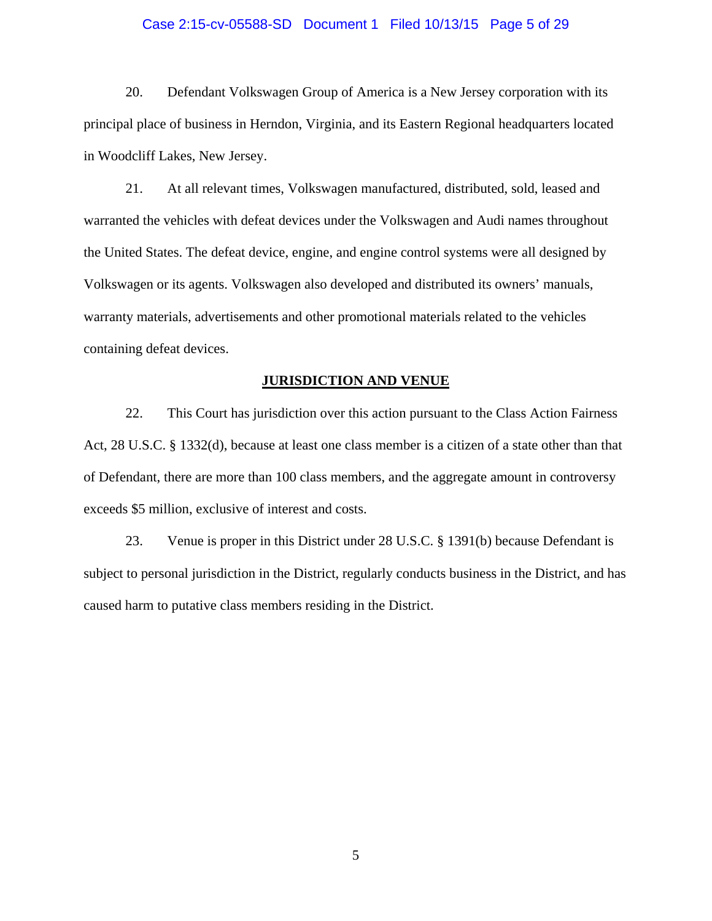#### Case 2:15-cv-05588-SD Document 1 Filed 10/13/15 Page 5 of 29

20. Defendant Volkswagen Group of America is a New Jersey corporation with its principal place of business in Herndon, Virginia, and its Eastern Regional headquarters located in Woodcliff Lakes, New Jersey.

21. At all relevant times, Volkswagen manufactured, distributed, sold, leased and warranted the vehicles with defeat devices under the Volkswagen and Audi names throughout the United States. The defeat device, engine, and engine control systems were all designed by Volkswagen or its agents. Volkswagen also developed and distributed its owners' manuals, warranty materials, advertisements and other promotional materials related to the vehicles containing defeat devices.

#### **JURISDICTION AND VENUE**

22. This Court has jurisdiction over this action pursuant to the Class Action Fairness Act, 28 U.S.C. § 1332(d), because at least one class member is a citizen of a state other than that of Defendant, there are more than 100 class members, and the aggregate amount in controversy exceeds \$5 million, exclusive of interest and costs.

23. Venue is proper in this District under 28 U.S.C. § 1391(b) because Defendant is subject to personal jurisdiction in the District, regularly conducts business in the District, and has caused harm to putative class members residing in the District.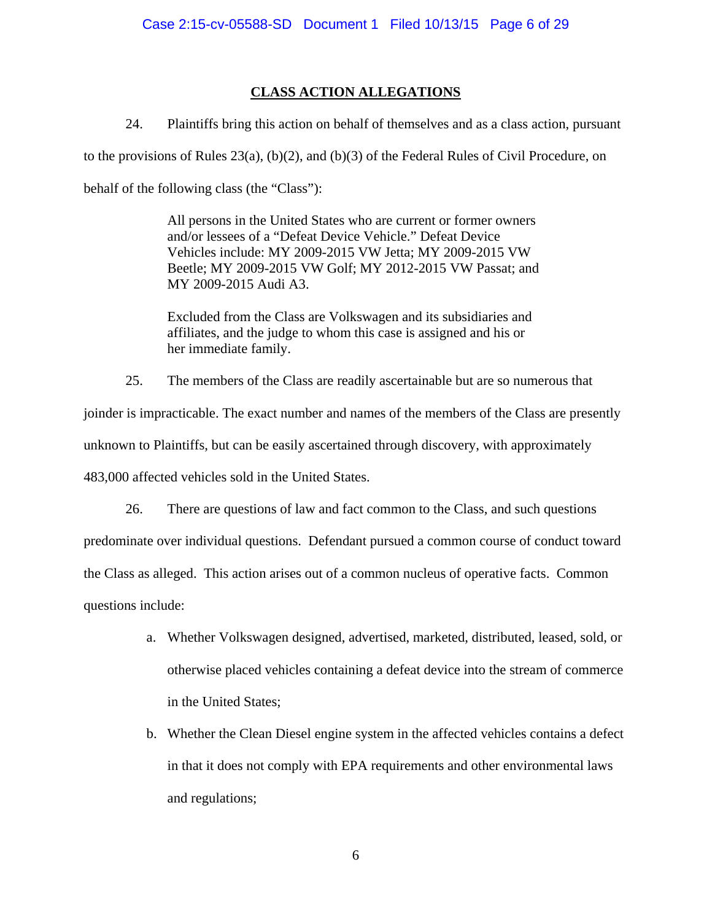### **CLASS ACTION ALLEGATIONS**

24. Plaintiffs bring this action on behalf of themselves and as a class action, pursuant to the provisions of Rules  $23(a)$ , (b)(2), and (b)(3) of the Federal Rules of Civil Procedure, on behalf of the following class (the "Class"):

> All persons in the United States who are current or former owners and/or lessees of a "Defeat Device Vehicle." Defeat Device Vehicles include: MY 2009-2015 VW Jetta; MY 2009-2015 VW Beetle; MY 2009-2015 VW Golf; MY 2012-2015 VW Passat; and MY 2009-2015 Audi A3.

Excluded from the Class are Volkswagen and its subsidiaries and affiliates, and the judge to whom this case is assigned and his or her immediate family.

25. The members of the Class are readily ascertainable but are so numerous that joinder is impracticable. The exact number and names of the members of the Class are presently unknown to Plaintiffs, but can be easily ascertained through discovery, with approximately 483,000 affected vehicles sold in the United States.

26. There are questions of law and fact common to the Class, and such questions predominate over individual questions. Defendant pursued a common course of conduct toward the Class as alleged. This action arises out of a common nucleus of operative facts. Common questions include:

- a. Whether Volkswagen designed, advertised, marketed, distributed, leased, sold, or otherwise placed vehicles containing a defeat device into the stream of commerce in the United States;
- b. Whether the Clean Diesel engine system in the affected vehicles contains a defect in that it does not comply with EPA requirements and other environmental laws and regulations;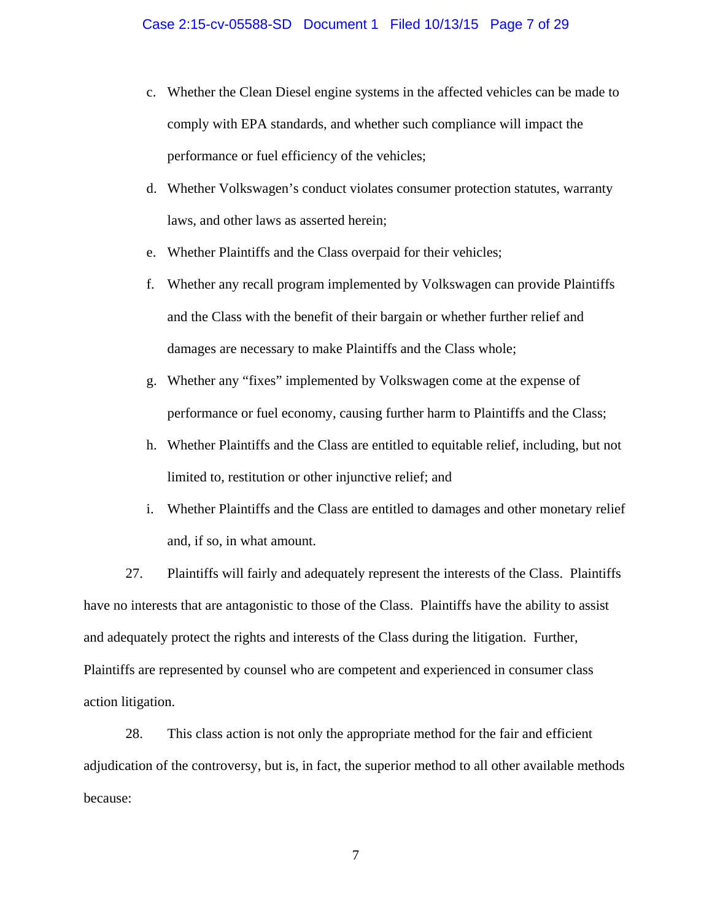- c. Whether the Clean Diesel engine systems in the affected vehicles can be made to comply with EPA standards, and whether such compliance will impact the performance or fuel efficiency of the vehicles;
- d. Whether Volkswagen's conduct violates consumer protection statutes, warranty laws, and other laws as asserted herein;
- e. Whether Plaintiffs and the Class overpaid for their vehicles;
- f. Whether any recall program implemented by Volkswagen can provide Plaintiffs and the Class with the benefit of their bargain or whether further relief and damages are necessary to make Plaintiffs and the Class whole;
- g. Whether any "fixes" implemented by Volkswagen come at the expense of performance or fuel economy, causing further harm to Plaintiffs and the Class;
- h. Whether Plaintiffs and the Class are entitled to equitable relief, including, but not limited to, restitution or other injunctive relief; and
- i. Whether Plaintiffs and the Class are entitled to damages and other monetary relief and, if so, in what amount.

27. Plaintiffs will fairly and adequately represent the interests of the Class. Plaintiffs have no interests that are antagonistic to those of the Class. Plaintiffs have the ability to assist and adequately protect the rights and interests of the Class during the litigation. Further, Plaintiffs are represented by counsel who are competent and experienced in consumer class action litigation.

28. This class action is not only the appropriate method for the fair and efficient adjudication of the controversy, but is, in fact, the superior method to all other available methods because: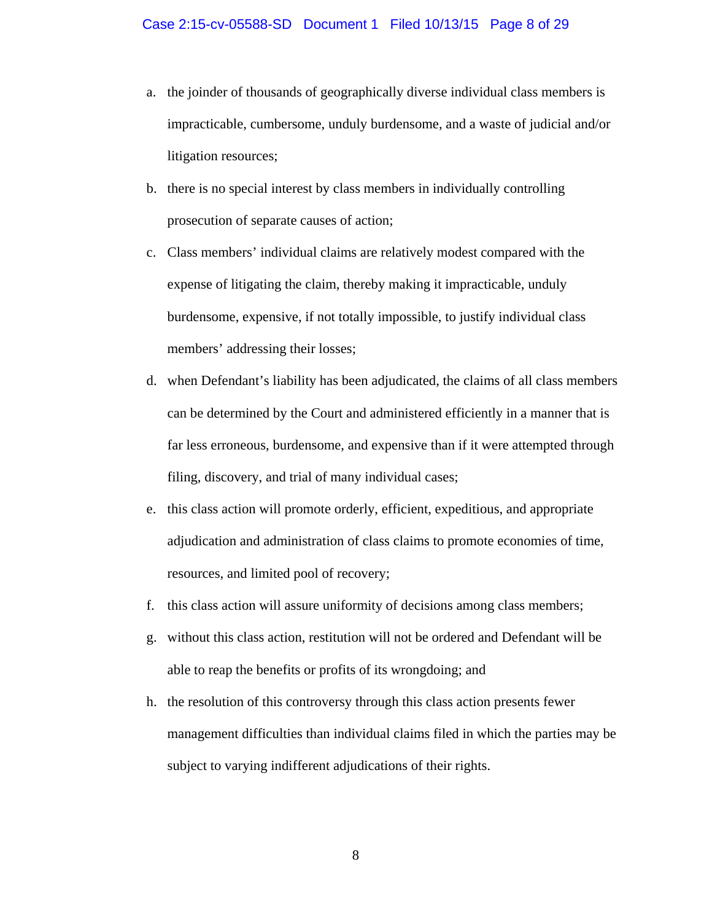- a. the joinder of thousands of geographically diverse individual class members is impracticable, cumbersome, unduly burdensome, and a waste of judicial and/or litigation resources;
- b. there is no special interest by class members in individually controlling prosecution of separate causes of action;
- c. Class members' individual claims are relatively modest compared with the expense of litigating the claim, thereby making it impracticable, unduly burdensome, expensive, if not totally impossible, to justify individual class members' addressing their losses;
- d. when Defendant's liability has been adjudicated, the claims of all class members can be determined by the Court and administered efficiently in a manner that is far less erroneous, burdensome, and expensive than if it were attempted through filing, discovery, and trial of many individual cases;
- e. this class action will promote orderly, efficient, expeditious, and appropriate adjudication and administration of class claims to promote economies of time, resources, and limited pool of recovery;
- f. this class action will assure uniformity of decisions among class members;
- g. without this class action, restitution will not be ordered and Defendant will be able to reap the benefits or profits of its wrongdoing; and
- h. the resolution of this controversy through this class action presents fewer management difficulties than individual claims filed in which the parties may be subject to varying indifferent adjudications of their rights.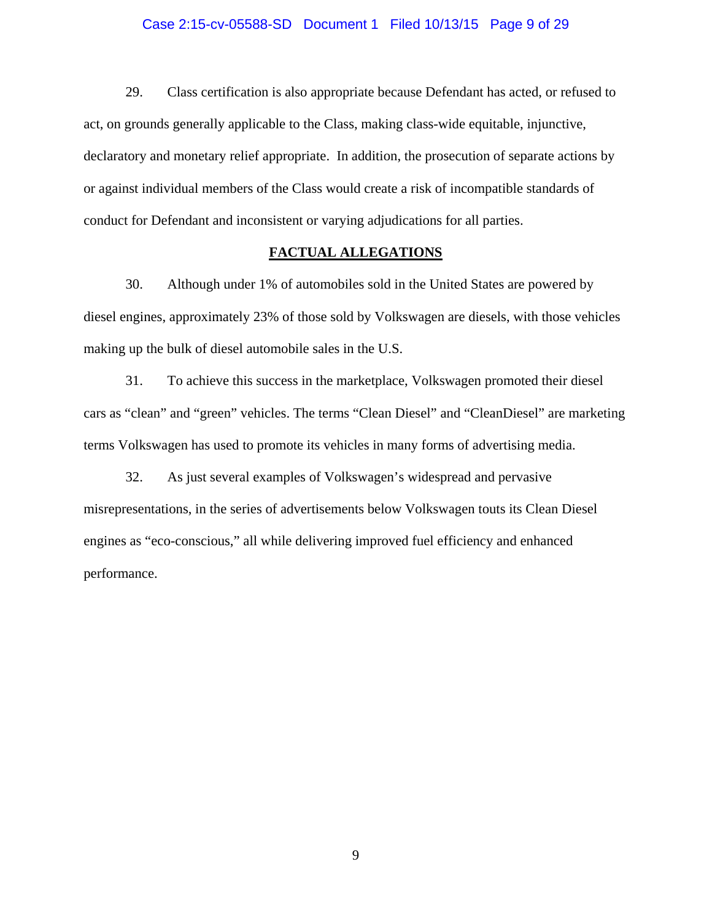#### Case 2:15-cv-05588-SD Document 1 Filed 10/13/15 Page 9 of 29

29. Class certification is also appropriate because Defendant has acted, or refused to act, on grounds generally applicable to the Class, making class-wide equitable, injunctive, declaratory and monetary relief appropriate. In addition, the prosecution of separate actions by or against individual members of the Class would create a risk of incompatible standards of conduct for Defendant and inconsistent or varying adjudications for all parties.

### **FACTUAL ALLEGATIONS**

30. Although under 1% of automobiles sold in the United States are powered by diesel engines, approximately 23% of those sold by Volkswagen are diesels, with those vehicles making up the bulk of diesel automobile sales in the U.S.

31. To achieve this success in the marketplace, Volkswagen promoted their diesel cars as "clean" and "green" vehicles. The terms "Clean Diesel" and "CleanDiesel" are marketing terms Volkswagen has used to promote its vehicles in many forms of advertising media.

32. As just several examples of Volkswagen's widespread and pervasive misrepresentations, in the series of advertisements below Volkswagen touts its Clean Diesel engines as "eco-conscious," all while delivering improved fuel efficiency and enhanced performance.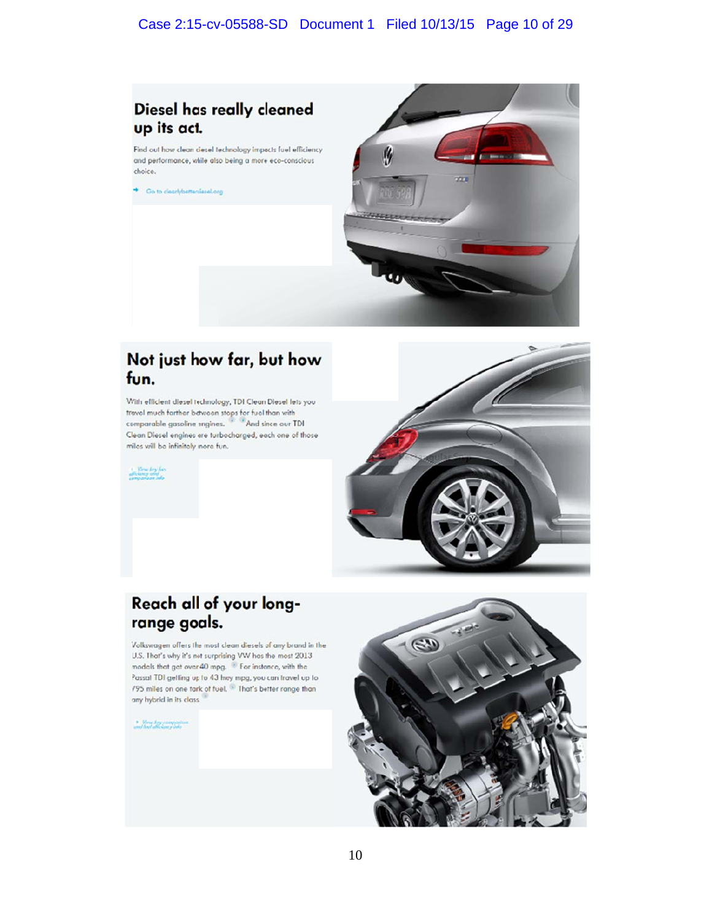### Case 2:15-cv-05588-SD Document 1 Filed 10/13/15 Page 10 of 29

# Diesel has really cleaned up its act.

Find out how clean diesel technology impects fuel efficiency and performance, while also being a more eco-conscious choice.

Go to clearlybetterclesel.org



# Not just how far, but how fun.

With efficient diesel technology, TDI Clean Diesel lets you travel much farther between stops for fuel than with<br>comparable gasoline engines. "And since our TDI Clean Diesel engines are turbocharged, each one of those miles will be infinitely more fun.



# Reach all of your longrange goals.

Volkswagen offers the most clean diesels of any brand in the U.S. That's why it's not surprising VW has the most 2013 models that get over 40 mpg. <sup>16</sup> For instance, with the Passal TDI getting up to 43 hwy mpg, you can travel up to 795 miles on one tank of fuel. " That's better range than any hybrid in its class.

and has been companies

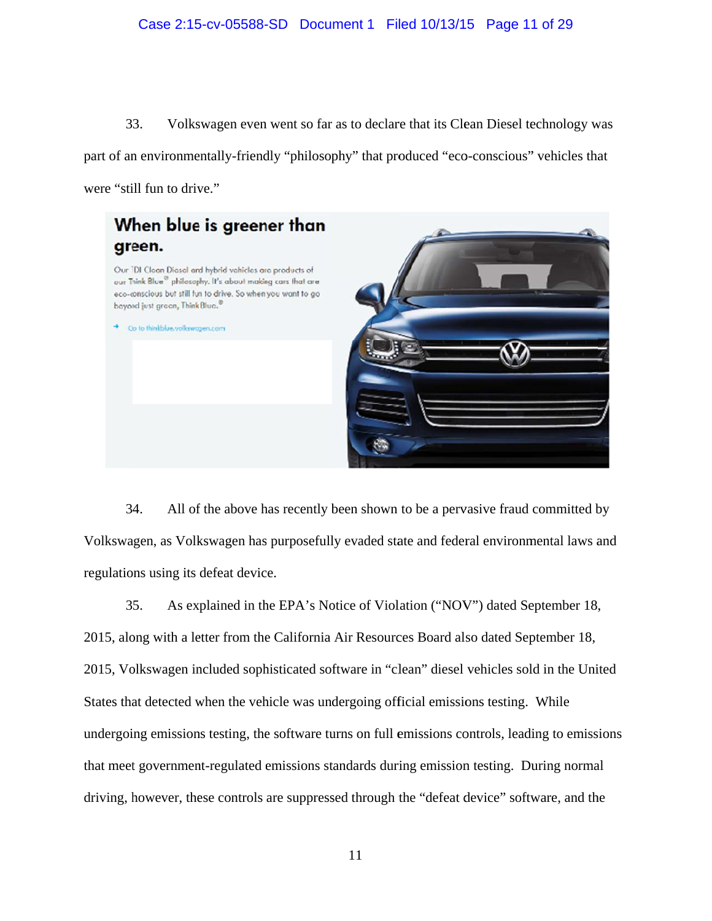### Case 2:15-cv-05588-SD Document 1 Filed 10/13/15 Page 11 of 29

33. part of an environmentally-friendly "philosophy" that produced "eco-conscious" vehicles that were "still fun to drive." 3. Volkswagen even went so far as to declare that its Clean Diesel technology was



34 Volkswagen, as Volkswagen has purposefully evaded state and federal environmental laws and regulations using its defeat device. 4. All of the above has recently been shown to be a pervasive fraud committed by

35. 2015, along with a letter from the California Air Resources Board also dated September 18, 2015, Volkswagen included sophisticated software in "clean" diesel vehicles sold in the United States that detected when the vehicle was undergoing official emissions testing. While undergoing emissions testing, the software turns on full emissions controls, leading to emissions that meet government-regulated emissions standards during emission testing. During normal driving, however, these controls are suppressed through the "defeat device" software, and the 5. As explained in the EPA's Notice of Violation ("NOV") dated September 18,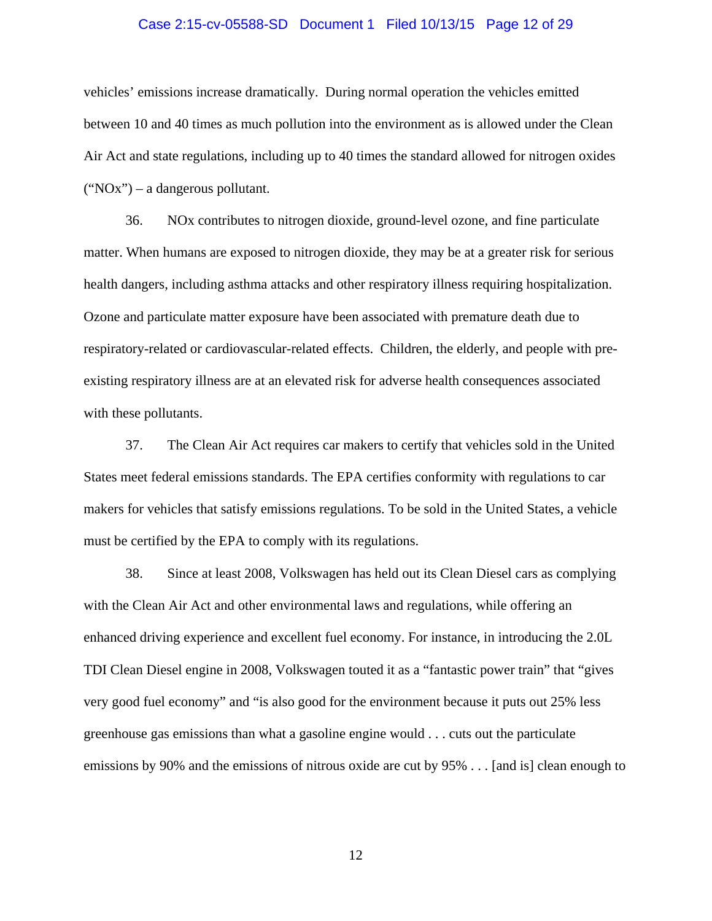#### Case 2:15-cv-05588-SD Document 1 Filed 10/13/15 Page 12 of 29

vehicles' emissions increase dramatically. During normal operation the vehicles emitted between 10 and 40 times as much pollution into the environment as is allowed under the Clean Air Act and state regulations, including up to 40 times the standard allowed for nitrogen oxides ("NOx") – a dangerous pollutant.

36. NOx contributes to nitrogen dioxide, ground-level ozone, and fine particulate matter. When humans are exposed to nitrogen dioxide, they may be at a greater risk for serious health dangers, including asthma attacks and other respiratory illness requiring hospitalization. Ozone and particulate matter exposure have been associated with premature death due to respiratory-related or cardiovascular-related effects. Children, the elderly, and people with preexisting respiratory illness are at an elevated risk for adverse health consequences associated with these pollutants.

37. The Clean Air Act requires car makers to certify that vehicles sold in the United States meet federal emissions standards. The EPA certifies conformity with regulations to car makers for vehicles that satisfy emissions regulations. To be sold in the United States, a vehicle must be certified by the EPA to comply with its regulations.

38. Since at least 2008, Volkswagen has held out its Clean Diesel cars as complying with the Clean Air Act and other environmental laws and regulations, while offering an enhanced driving experience and excellent fuel economy. For instance, in introducing the 2.0L TDI Clean Diesel engine in 2008, Volkswagen touted it as a "fantastic power train" that "gives very good fuel economy" and "is also good for the environment because it puts out 25% less greenhouse gas emissions than what a gasoline engine would . . . cuts out the particulate emissions by 90% and the emissions of nitrous oxide are cut by 95% . . . [and is] clean enough to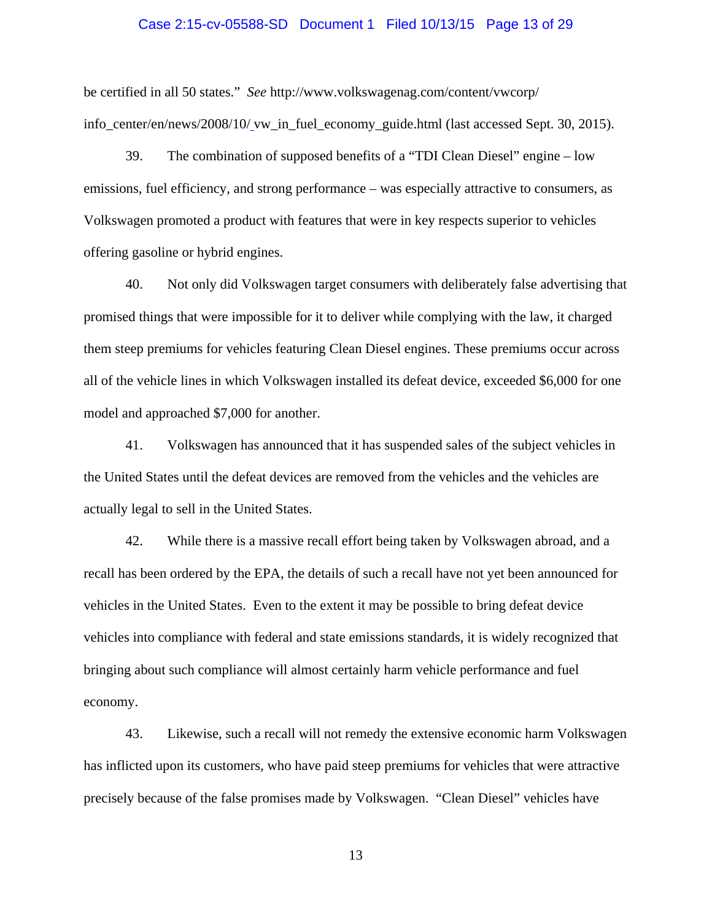#### Case 2:15-cv-05588-SD Document 1 Filed 10/13/15 Page 13 of 29

be certified in all 50 states." *See* http://www.volkswagenag.com/content/vwcorp/ info\_center/en/news/2008/10/ vw\_in\_fuel\_economy\_guide.html (last accessed Sept. 30, 2015).

39. The combination of supposed benefits of a "TDI Clean Diesel" engine – low emissions, fuel efficiency, and strong performance – was especially attractive to consumers, as Volkswagen promoted a product with features that were in key respects superior to vehicles offering gasoline or hybrid engines.

40. Not only did Volkswagen target consumers with deliberately false advertising that promised things that were impossible for it to deliver while complying with the law, it charged them steep premiums for vehicles featuring Clean Diesel engines. These premiums occur across all of the vehicle lines in which Volkswagen installed its defeat device, exceeded \$6,000 for one model and approached \$7,000 for another.

41. Volkswagen has announced that it has suspended sales of the subject vehicles in the United States until the defeat devices are removed from the vehicles and the vehicles are actually legal to sell in the United States.

42. While there is a massive recall effort being taken by Volkswagen abroad, and a recall has been ordered by the EPA, the details of such a recall have not yet been announced for vehicles in the United States. Even to the extent it may be possible to bring defeat device vehicles into compliance with federal and state emissions standards, it is widely recognized that bringing about such compliance will almost certainly harm vehicle performance and fuel economy.

43. Likewise, such a recall will not remedy the extensive economic harm Volkswagen has inflicted upon its customers, who have paid steep premiums for vehicles that were attractive precisely because of the false promises made by Volkswagen. "Clean Diesel" vehicles have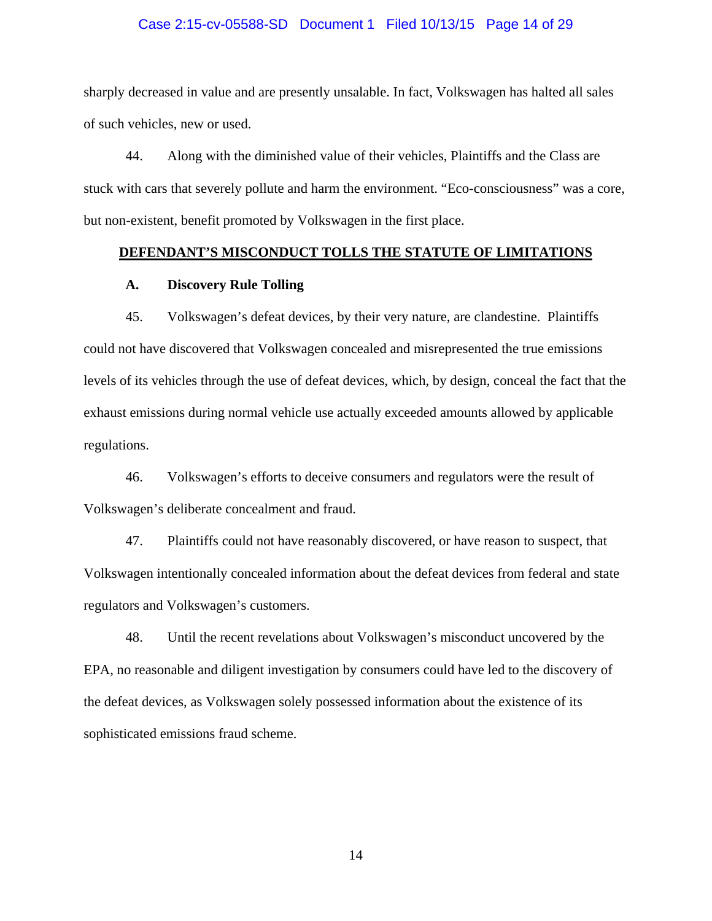#### Case 2:15-cv-05588-SD Document 1 Filed 10/13/15 Page 14 of 29

sharply decreased in value and are presently unsalable. In fact, Volkswagen has halted all sales of such vehicles, new or used.

44. Along with the diminished value of their vehicles, Plaintiffs and the Class are stuck with cars that severely pollute and harm the environment. "Eco-consciousness" was a core, but non-existent, benefit promoted by Volkswagen in the first place.

#### **DEFENDANT'S MISCONDUCT TOLLS THE STATUTE OF LIMITATIONS**

#### **A. Discovery Rule Tolling**

45. Volkswagen's defeat devices, by their very nature, are clandestine. Plaintiffs could not have discovered that Volkswagen concealed and misrepresented the true emissions levels of its vehicles through the use of defeat devices, which, by design, conceal the fact that the exhaust emissions during normal vehicle use actually exceeded amounts allowed by applicable regulations.

46. Volkswagen's efforts to deceive consumers and regulators were the result of Volkswagen's deliberate concealment and fraud.

47. Plaintiffs could not have reasonably discovered, or have reason to suspect, that Volkswagen intentionally concealed information about the defeat devices from federal and state regulators and Volkswagen's customers.

48. Until the recent revelations about Volkswagen's misconduct uncovered by the EPA, no reasonable and diligent investigation by consumers could have led to the discovery of the defeat devices, as Volkswagen solely possessed information about the existence of its sophisticated emissions fraud scheme.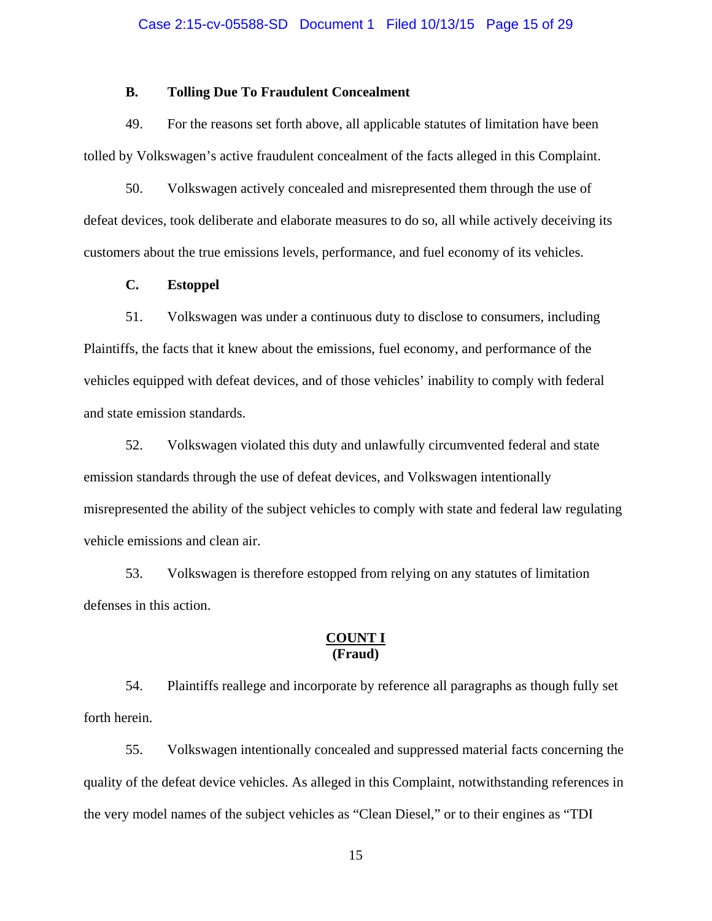#### **B. Tolling Due To Fraudulent Concealment**

49. For the reasons set forth above, all applicable statutes of limitation have been tolled by Volkswagen's active fraudulent concealment of the facts alleged in this Complaint.

50. Volkswagen actively concealed and misrepresented them through the use of defeat devices, took deliberate and elaborate measures to do so, all while actively deceiving its customers about the true emissions levels, performance, and fuel economy of its vehicles.

### **C. Estoppel**

51. Volkswagen was under a continuous duty to disclose to consumers, including Plaintiffs, the facts that it knew about the emissions, fuel economy, and performance of the vehicles equipped with defeat devices, and of those vehicles' inability to comply with federal and state emission standards.

52. Volkswagen violated this duty and unlawfully circumvented federal and state emission standards through the use of defeat devices, and Volkswagen intentionally misrepresented the ability of the subject vehicles to comply with state and federal law regulating vehicle emissions and clean air.

53. Volkswagen is therefore estopped from relying on any statutes of limitation defenses in this action.

### **COUNT I (Fraud)**

54. Plaintiffs reallege and incorporate by reference all paragraphs as though fully set forth herein.

55. Volkswagen intentionally concealed and suppressed material facts concerning the quality of the defeat device vehicles. As alleged in this Complaint, notwithstanding references in the very model names of the subject vehicles as "Clean Diesel," or to their engines as "TDI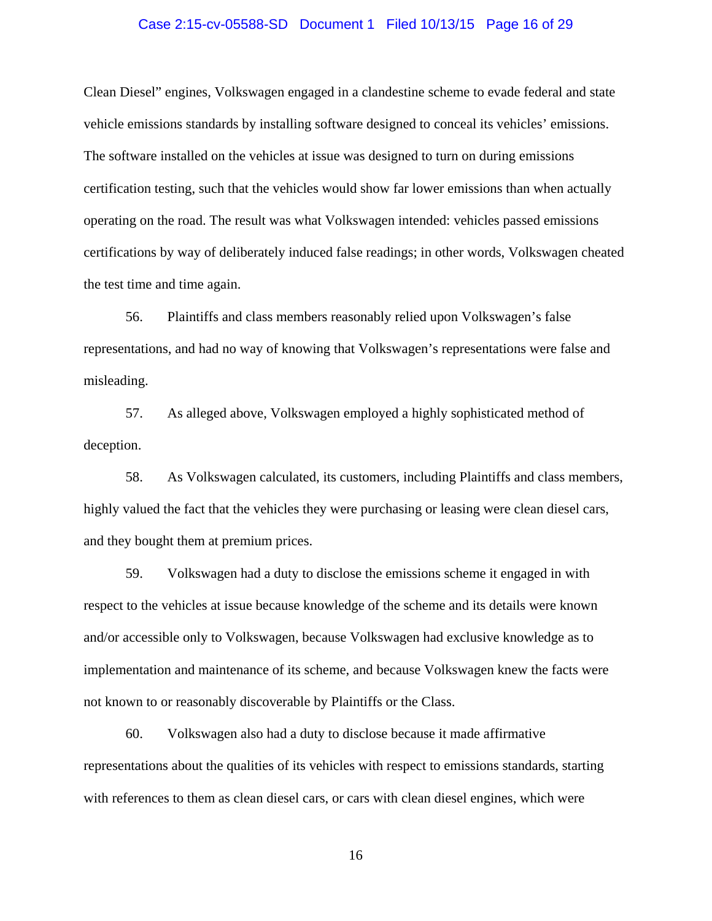#### Case 2:15-cv-05588-SD Document 1 Filed 10/13/15 Page 16 of 29

Clean Diesel" engines, Volkswagen engaged in a clandestine scheme to evade federal and state vehicle emissions standards by installing software designed to conceal its vehicles' emissions. The software installed on the vehicles at issue was designed to turn on during emissions certification testing, such that the vehicles would show far lower emissions than when actually operating on the road. The result was what Volkswagen intended: vehicles passed emissions certifications by way of deliberately induced false readings; in other words, Volkswagen cheated the test time and time again.

56. Plaintiffs and class members reasonably relied upon Volkswagen's false representations, and had no way of knowing that Volkswagen's representations were false and misleading.

57. As alleged above, Volkswagen employed a highly sophisticated method of deception.

58. As Volkswagen calculated, its customers, including Plaintiffs and class members, highly valued the fact that the vehicles they were purchasing or leasing were clean diesel cars, and they bought them at premium prices.

59. Volkswagen had a duty to disclose the emissions scheme it engaged in with respect to the vehicles at issue because knowledge of the scheme and its details were known and/or accessible only to Volkswagen, because Volkswagen had exclusive knowledge as to implementation and maintenance of its scheme, and because Volkswagen knew the facts were not known to or reasonably discoverable by Plaintiffs or the Class.

60. Volkswagen also had a duty to disclose because it made affirmative representations about the qualities of its vehicles with respect to emissions standards, starting with references to them as clean diesel cars, or cars with clean diesel engines, which were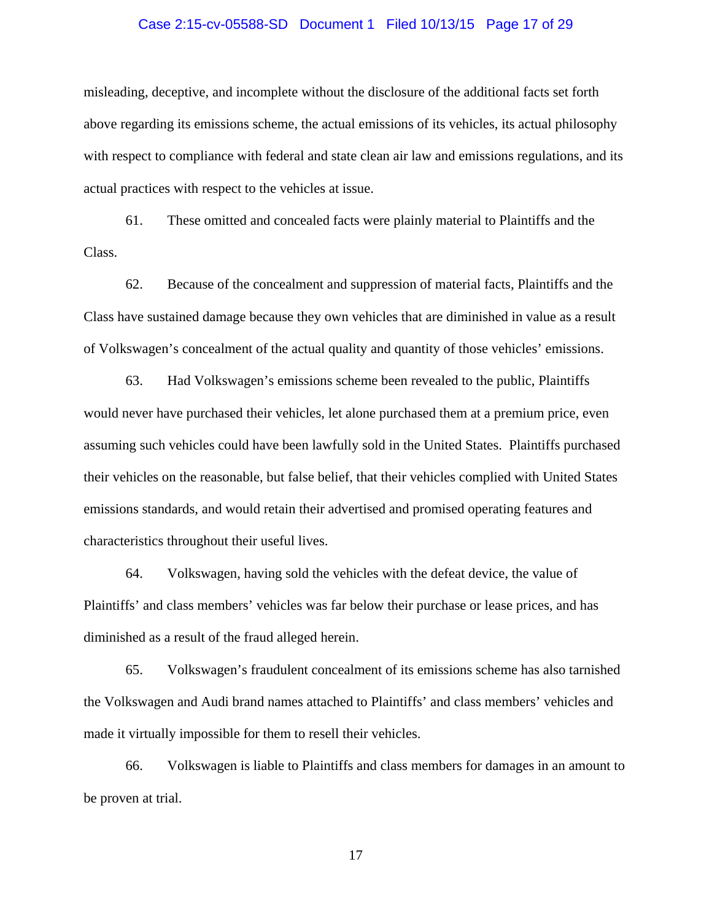#### Case 2:15-cv-05588-SD Document 1 Filed 10/13/15 Page 17 of 29

misleading, deceptive, and incomplete without the disclosure of the additional facts set forth above regarding its emissions scheme, the actual emissions of its vehicles, its actual philosophy with respect to compliance with federal and state clean air law and emissions regulations, and its actual practices with respect to the vehicles at issue.

61. These omitted and concealed facts were plainly material to Plaintiffs and the Class.

62. Because of the concealment and suppression of material facts, Plaintiffs and the Class have sustained damage because they own vehicles that are diminished in value as a result of Volkswagen's concealment of the actual quality and quantity of those vehicles' emissions.

63. Had Volkswagen's emissions scheme been revealed to the public, Plaintiffs would never have purchased their vehicles, let alone purchased them at a premium price, even assuming such vehicles could have been lawfully sold in the United States. Plaintiffs purchased their vehicles on the reasonable, but false belief, that their vehicles complied with United States emissions standards, and would retain their advertised and promised operating features and characteristics throughout their useful lives.

64. Volkswagen, having sold the vehicles with the defeat device, the value of Plaintiffs' and class members' vehicles was far below their purchase or lease prices, and has diminished as a result of the fraud alleged herein.

65. Volkswagen's fraudulent concealment of its emissions scheme has also tarnished the Volkswagen and Audi brand names attached to Plaintiffs' and class members' vehicles and made it virtually impossible for them to resell their vehicles.

66. Volkswagen is liable to Plaintiffs and class members for damages in an amount to be proven at trial.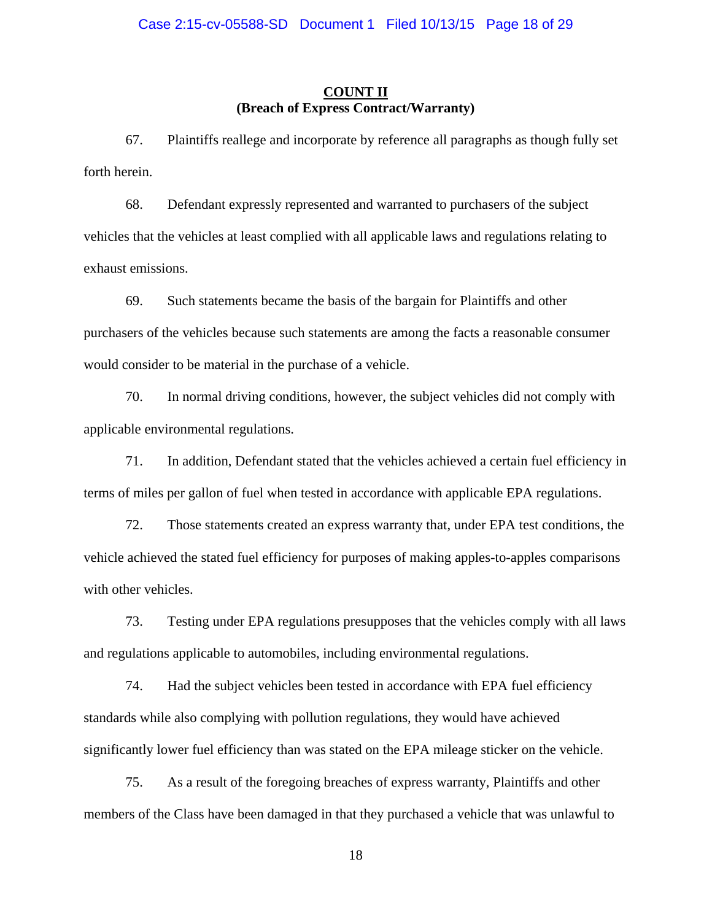### **COUNT II (Breach of Express Contract/Warranty)**

67. Plaintiffs reallege and incorporate by reference all paragraphs as though fully set forth herein.

68. Defendant expressly represented and warranted to purchasers of the subject vehicles that the vehicles at least complied with all applicable laws and regulations relating to exhaust emissions.

69. Such statements became the basis of the bargain for Plaintiffs and other purchasers of the vehicles because such statements are among the facts a reasonable consumer would consider to be material in the purchase of a vehicle.

70. In normal driving conditions, however, the subject vehicles did not comply with applicable environmental regulations.

71. In addition, Defendant stated that the vehicles achieved a certain fuel efficiency in terms of miles per gallon of fuel when tested in accordance with applicable EPA regulations.

72. Those statements created an express warranty that, under EPA test conditions, the vehicle achieved the stated fuel efficiency for purposes of making apples-to-apples comparisons with other vehicles.

73. Testing under EPA regulations presupposes that the vehicles comply with all laws and regulations applicable to automobiles, including environmental regulations.

74. Had the subject vehicles been tested in accordance with EPA fuel efficiency standards while also complying with pollution regulations, they would have achieved significantly lower fuel efficiency than was stated on the EPA mileage sticker on the vehicle.

75. As a result of the foregoing breaches of express warranty, Plaintiffs and other members of the Class have been damaged in that they purchased a vehicle that was unlawful to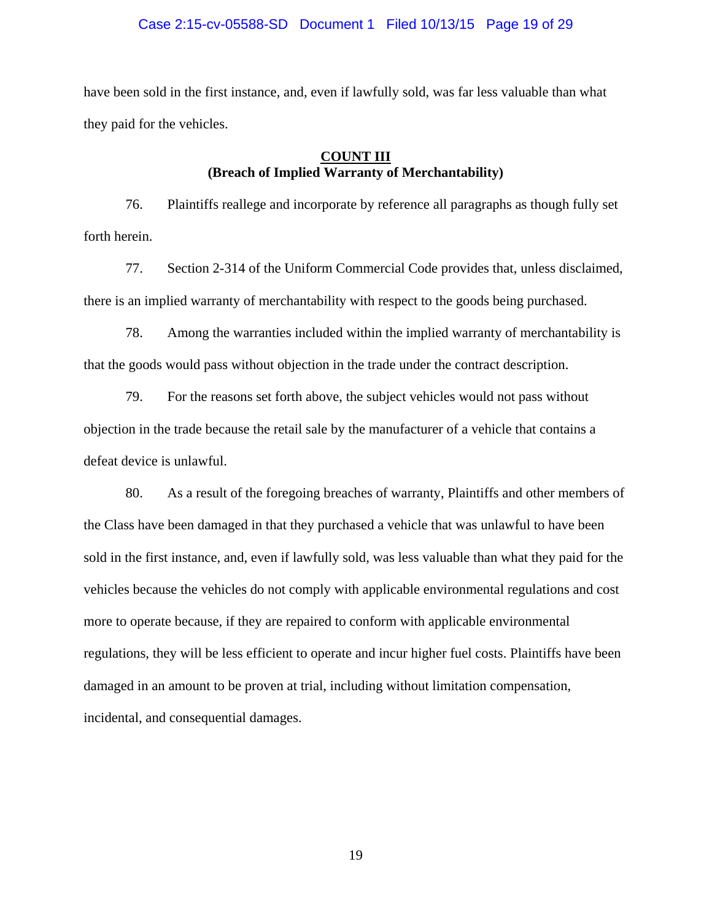### Case 2:15-cv-05588-SD Document 1 Filed 10/13/15 Page 19 of 29

have been sold in the first instance, and, even if lawfully sold, was far less valuable than what they paid for the vehicles.

### **COUNT III (Breach of Implied Warranty of Merchantability)**

76. Plaintiffs reallege and incorporate by reference all paragraphs as though fully set forth herein.

77. Section 2-314 of the Uniform Commercial Code provides that, unless disclaimed, there is an implied warranty of merchantability with respect to the goods being purchased.

78. Among the warranties included within the implied warranty of merchantability is that the goods would pass without objection in the trade under the contract description.

79. For the reasons set forth above, the subject vehicles would not pass without objection in the trade because the retail sale by the manufacturer of a vehicle that contains a defeat device is unlawful.

80. As a result of the foregoing breaches of warranty, Plaintiffs and other members of the Class have been damaged in that they purchased a vehicle that was unlawful to have been sold in the first instance, and, even if lawfully sold, was less valuable than what they paid for the vehicles because the vehicles do not comply with applicable environmental regulations and cost more to operate because, if they are repaired to conform with applicable environmental regulations, they will be less efficient to operate and incur higher fuel costs. Plaintiffs have been damaged in an amount to be proven at trial, including without limitation compensation, incidental, and consequential damages.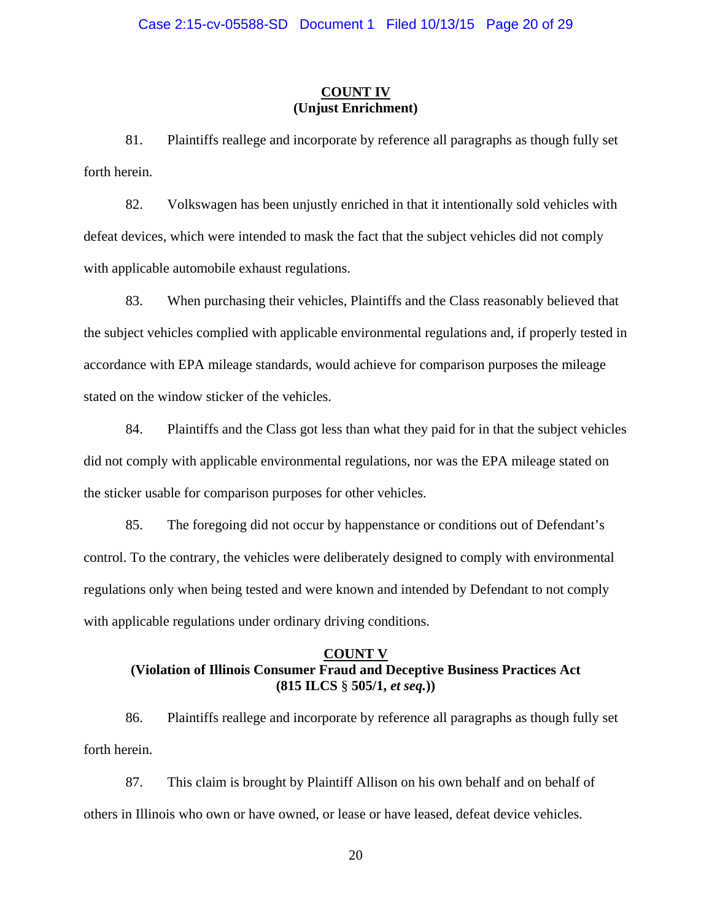### **COUNT IV (Unjust Enrichment)**

81. Plaintiffs reallege and incorporate by reference all paragraphs as though fully set forth herein.

82. Volkswagen has been unjustly enriched in that it intentionally sold vehicles with defeat devices, which were intended to mask the fact that the subject vehicles did not comply with applicable automobile exhaust regulations.

83. When purchasing their vehicles, Plaintiffs and the Class reasonably believed that the subject vehicles complied with applicable environmental regulations and, if properly tested in accordance with EPA mileage standards, would achieve for comparison purposes the mileage stated on the window sticker of the vehicles.

84. Plaintiffs and the Class got less than what they paid for in that the subject vehicles did not comply with applicable environmental regulations, nor was the EPA mileage stated on the sticker usable for comparison purposes for other vehicles.

85. The foregoing did not occur by happenstance or conditions out of Defendant's control. To the contrary, the vehicles were deliberately designed to comply with environmental regulations only when being tested and were known and intended by Defendant to not comply with applicable regulations under ordinary driving conditions.

### **COUNT V (Violation of Illinois Consumer Fraud and Deceptive Business Practices Act (815 ILCS** § **505/1,** *et seq.***))**

86. Plaintiffs reallege and incorporate by reference all paragraphs as though fully set forth herein.

87. This claim is brought by Plaintiff Allison on his own behalf and on behalf of others in Illinois who own or have owned, or lease or have leased, defeat device vehicles.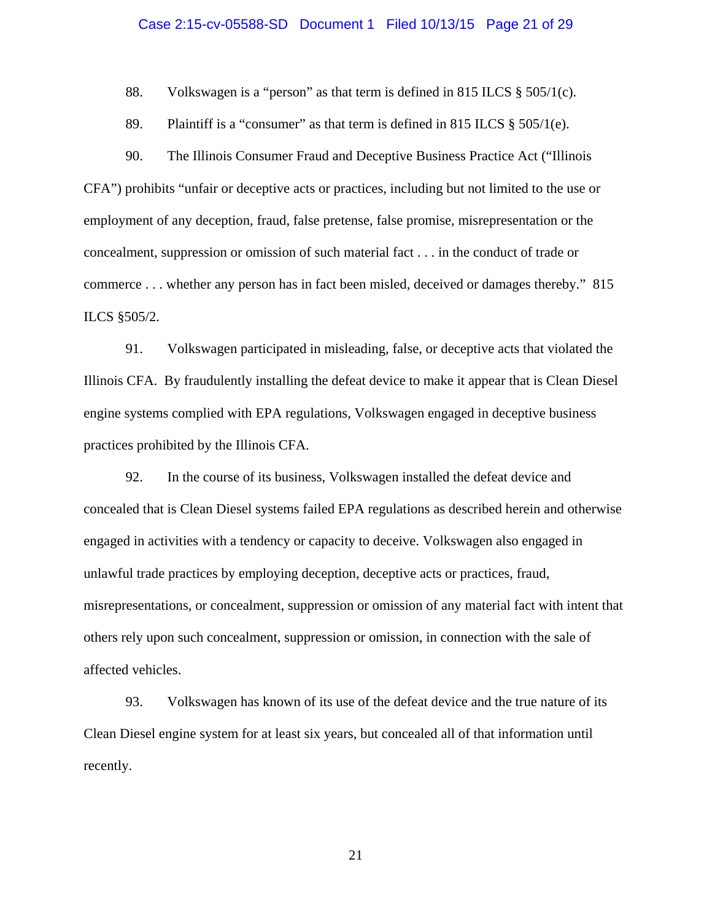#### Case 2:15-cv-05588-SD Document 1 Filed 10/13/15 Page 21 of 29

88. Volkswagen is a "person" as that term is defined in 815 ILCS § 505/1(c).

89. Plaintiff is a "consumer" as that term is defined in 815 ILCS § 505/1(e).

90. The Illinois Consumer Fraud and Deceptive Business Practice Act ("Illinois CFA") prohibits "unfair or deceptive acts or practices, including but not limited to the use or employment of any deception, fraud, false pretense, false promise, misrepresentation or the concealment, suppression or omission of such material fact . . . in the conduct of trade or commerce . . . whether any person has in fact been misled, deceived or damages thereby." 815 ILCS §505/2.

91. Volkswagen participated in misleading, false, or deceptive acts that violated the Illinois CFA. By fraudulently installing the defeat device to make it appear that is Clean Diesel engine systems complied with EPA regulations, Volkswagen engaged in deceptive business practices prohibited by the Illinois CFA.

92. In the course of its business, Volkswagen installed the defeat device and concealed that is Clean Diesel systems failed EPA regulations as described herein and otherwise engaged in activities with a tendency or capacity to deceive. Volkswagen also engaged in unlawful trade practices by employing deception, deceptive acts or practices, fraud, misrepresentations, or concealment, suppression or omission of any material fact with intent that others rely upon such concealment, suppression or omission, in connection with the sale of affected vehicles.

93. Volkswagen has known of its use of the defeat device and the true nature of its Clean Diesel engine system for at least six years, but concealed all of that information until recently.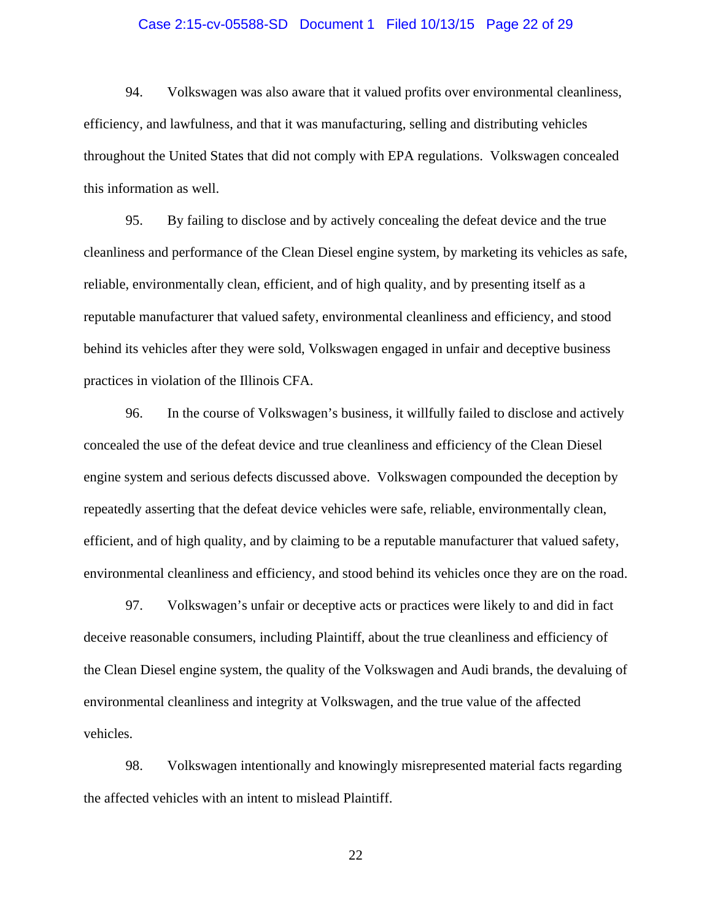#### Case 2:15-cv-05588-SD Document 1 Filed 10/13/15 Page 22 of 29

94. Volkswagen was also aware that it valued profits over environmental cleanliness, efficiency, and lawfulness, and that it was manufacturing, selling and distributing vehicles throughout the United States that did not comply with EPA regulations. Volkswagen concealed this information as well.

95. By failing to disclose and by actively concealing the defeat device and the true cleanliness and performance of the Clean Diesel engine system, by marketing its vehicles as safe, reliable, environmentally clean, efficient, and of high quality, and by presenting itself as a reputable manufacturer that valued safety, environmental cleanliness and efficiency, and stood behind its vehicles after they were sold, Volkswagen engaged in unfair and deceptive business practices in violation of the Illinois CFA.

96. In the course of Volkswagen's business, it willfully failed to disclose and actively concealed the use of the defeat device and true cleanliness and efficiency of the Clean Diesel engine system and serious defects discussed above. Volkswagen compounded the deception by repeatedly asserting that the defeat device vehicles were safe, reliable, environmentally clean, efficient, and of high quality, and by claiming to be a reputable manufacturer that valued safety, environmental cleanliness and efficiency, and stood behind its vehicles once they are on the road.

97. Volkswagen's unfair or deceptive acts or practices were likely to and did in fact deceive reasonable consumers, including Plaintiff, about the true cleanliness and efficiency of the Clean Diesel engine system, the quality of the Volkswagen and Audi brands, the devaluing of environmental cleanliness and integrity at Volkswagen, and the true value of the affected vehicles.

98. Volkswagen intentionally and knowingly misrepresented material facts regarding the affected vehicles with an intent to mislead Plaintiff.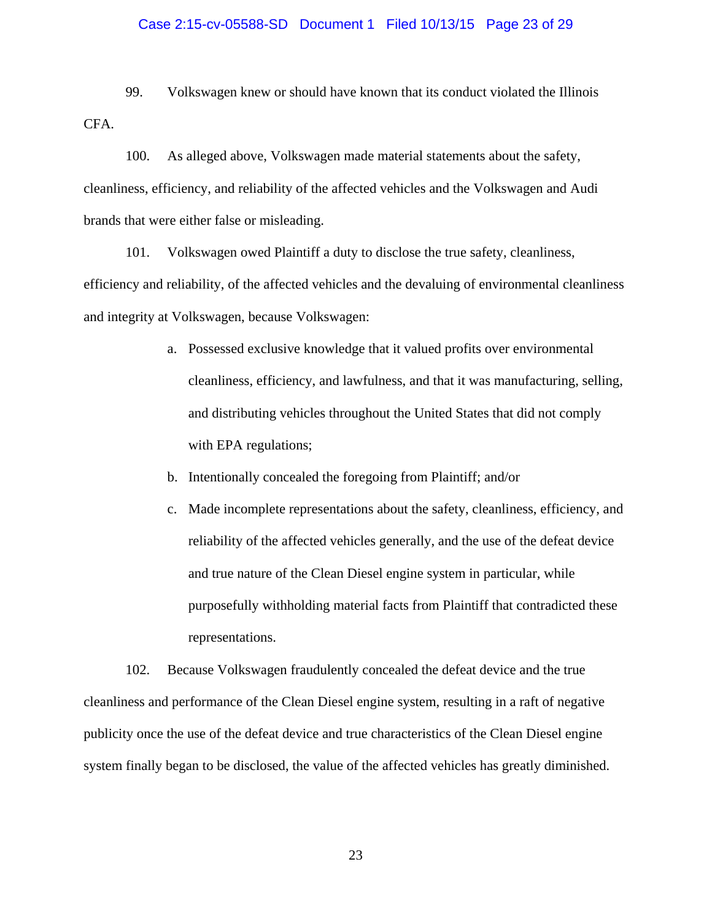#### Case 2:15-cv-05588-SD Document 1 Filed 10/13/15 Page 23 of 29

99. Volkswagen knew or should have known that its conduct violated the Illinois CFA.

100. As alleged above, Volkswagen made material statements about the safety, cleanliness, efficiency, and reliability of the affected vehicles and the Volkswagen and Audi brands that were either false or misleading.

101. Volkswagen owed Plaintiff a duty to disclose the true safety, cleanliness, efficiency and reliability, of the affected vehicles and the devaluing of environmental cleanliness and integrity at Volkswagen, because Volkswagen:

> a. Possessed exclusive knowledge that it valued profits over environmental cleanliness, efficiency, and lawfulness, and that it was manufacturing, selling, and distributing vehicles throughout the United States that did not comply with EPA regulations;

b. Intentionally concealed the foregoing from Plaintiff; and/or

c. Made incomplete representations about the safety, cleanliness, efficiency, and reliability of the affected vehicles generally, and the use of the defeat device and true nature of the Clean Diesel engine system in particular, while purposefully withholding material facts from Plaintiff that contradicted these representations.

102. Because Volkswagen fraudulently concealed the defeat device and the true cleanliness and performance of the Clean Diesel engine system, resulting in a raft of negative publicity once the use of the defeat device and true characteristics of the Clean Diesel engine system finally began to be disclosed, the value of the affected vehicles has greatly diminished.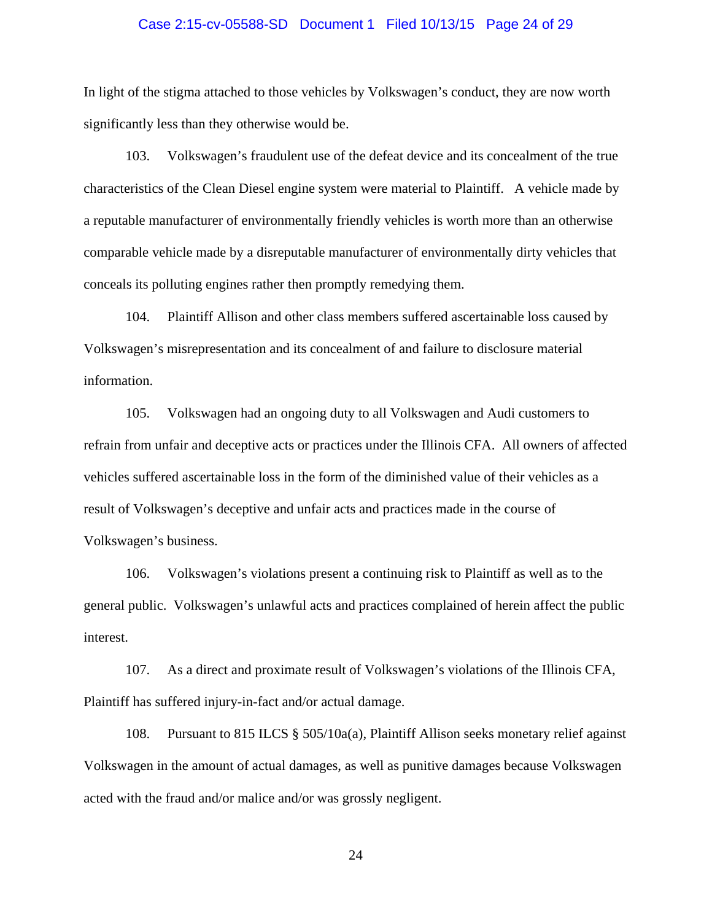#### Case 2:15-cv-05588-SD Document 1 Filed 10/13/15 Page 24 of 29

In light of the stigma attached to those vehicles by Volkswagen's conduct, they are now worth significantly less than they otherwise would be.

103. Volkswagen's fraudulent use of the defeat device and its concealment of the true characteristics of the Clean Diesel engine system were material to Plaintiff. A vehicle made by a reputable manufacturer of environmentally friendly vehicles is worth more than an otherwise comparable vehicle made by a disreputable manufacturer of environmentally dirty vehicles that conceals its polluting engines rather then promptly remedying them.

104. Plaintiff Allison and other class members suffered ascertainable loss caused by Volkswagen's misrepresentation and its concealment of and failure to disclosure material information.

105. Volkswagen had an ongoing duty to all Volkswagen and Audi customers to refrain from unfair and deceptive acts or practices under the Illinois CFA. All owners of affected vehicles suffered ascertainable loss in the form of the diminished value of their vehicles as a result of Volkswagen's deceptive and unfair acts and practices made in the course of Volkswagen's business.

106. Volkswagen's violations present a continuing risk to Plaintiff as well as to the general public. Volkswagen's unlawful acts and practices complained of herein affect the public interest.

107. As a direct and proximate result of Volkswagen's violations of the Illinois CFA, Plaintiff has suffered injury-in-fact and/or actual damage.

108. Pursuant to 815 ILCS § 505/10a(a), Plaintiff Allison seeks monetary relief against Volkswagen in the amount of actual damages, as well as punitive damages because Volkswagen acted with the fraud and/or malice and/or was grossly negligent.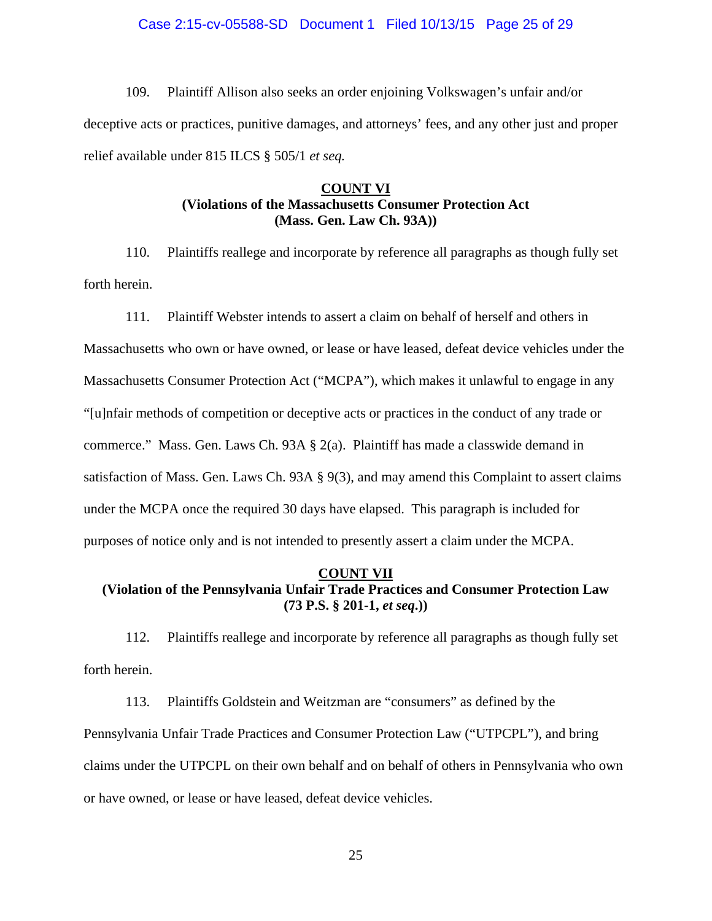#### Case 2:15-cv-05588-SD Document 1 Filed 10/13/15 Page 25 of 29

109. Plaintiff Allison also seeks an order enjoining Volkswagen's unfair and/or deceptive acts or practices, punitive damages, and attorneys' fees, and any other just and proper relief available under 815 ILCS § 505/1 *et seq.*

### **COUNT VI (Violations of the Massachusetts Consumer Protection Act (Mass. Gen. Law Ch. 93A))**

110. Plaintiffs reallege and incorporate by reference all paragraphs as though fully set forth herein.

111. Plaintiff Webster intends to assert a claim on behalf of herself and others in Massachusetts who own or have owned, or lease or have leased, defeat device vehicles under the Massachusetts Consumer Protection Act ("MCPA"), which makes it unlawful to engage in any "[u]nfair methods of competition or deceptive acts or practices in the conduct of any trade or commerce." Mass. Gen. Laws Ch. 93A § 2(a). Plaintiff has made a classwide demand in satisfaction of Mass. Gen. Laws Ch. 93A § 9(3), and may amend this Complaint to assert claims under the MCPA once the required 30 days have elapsed. This paragraph is included for purposes of notice only and is not intended to presently assert a claim under the MCPA.

#### **COUNT VII**

## **(Violation of the Pennsylvania Unfair Trade Practices and Consumer Protection Law (73 P.S. § 201-1,** *et seq***.))**

112. Plaintiffs reallege and incorporate by reference all paragraphs as though fully set forth herein.

113. Plaintiffs Goldstein and Weitzman are "consumers" as defined by the Pennsylvania Unfair Trade Practices and Consumer Protection Law ("UTPCPL"), and bring claims under the UTPCPL on their own behalf and on behalf of others in Pennsylvania who own or have owned, or lease or have leased, defeat device vehicles.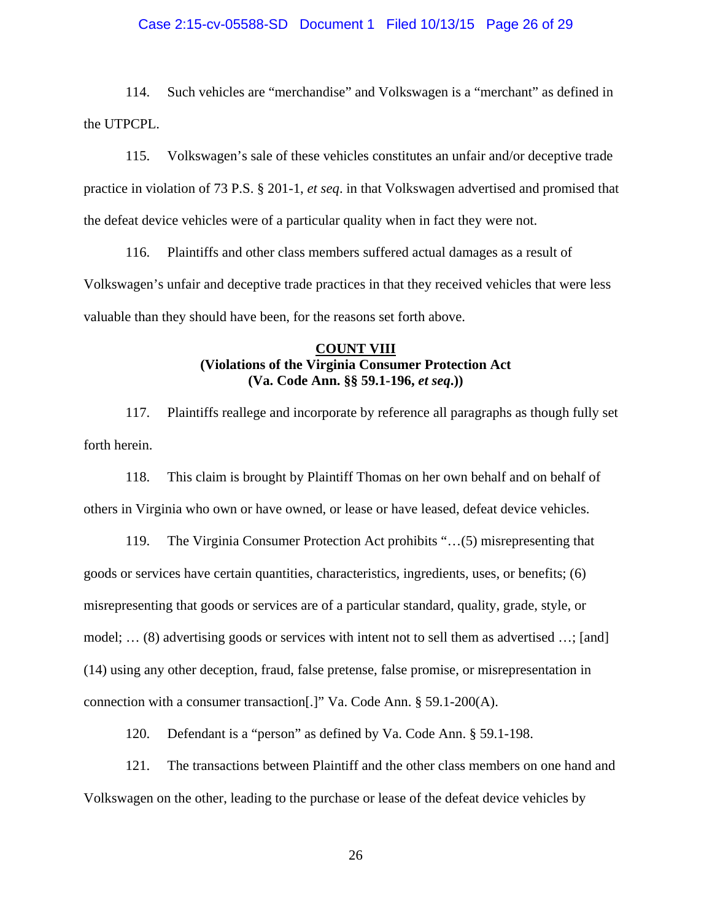#### Case 2:15-cv-05588-SD Document 1 Filed 10/13/15 Page 26 of 29

114. Such vehicles are "merchandise" and Volkswagen is a "merchant" as defined in the UTPCPL.

115. Volkswagen's sale of these vehicles constitutes an unfair and/or deceptive trade practice in violation of 73 P.S. § 201-1, *et seq*. in that Volkswagen advertised and promised that the defeat device vehicles were of a particular quality when in fact they were not.

116. Plaintiffs and other class members suffered actual damages as a result of Volkswagen's unfair and deceptive trade practices in that they received vehicles that were less valuable than they should have been, for the reasons set forth above.

### **COUNT VIII (Violations of the Virginia Consumer Protection Act (Va. Code Ann. §§ 59.1-196,** *et seq***.))**

117. Plaintiffs reallege and incorporate by reference all paragraphs as though fully set forth herein.

118. This claim is brought by Plaintiff Thomas on her own behalf and on behalf of others in Virginia who own or have owned, or lease or have leased, defeat device vehicles.

119. The Virginia Consumer Protection Act prohibits "…(5) misrepresenting that goods or services have certain quantities, characteristics, ingredients, uses, or benefits; (6) misrepresenting that goods or services are of a particular standard, quality, grade, style, or model; … (8) advertising goods or services with intent not to sell them as advertised …; [and] (14) using any other deception, fraud, false pretense, false promise, or misrepresentation in connection with a consumer transaction[.]" Va. Code Ann. § 59.1-200(A).

120. Defendant is a "person" as defined by Va. Code Ann. § 59.1-198.

121. The transactions between Plaintiff and the other class members on one hand and Volkswagen on the other, leading to the purchase or lease of the defeat device vehicles by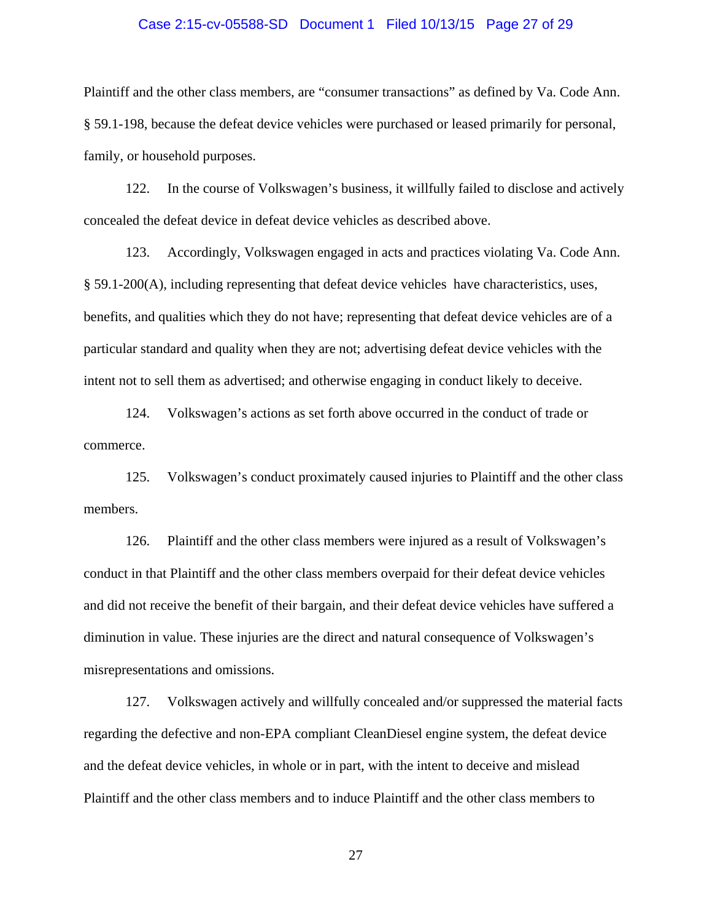#### Case 2:15-cv-05588-SD Document 1 Filed 10/13/15 Page 27 of 29

Plaintiff and the other class members, are "consumer transactions" as defined by Va. Code Ann. § 59.1-198, because the defeat device vehicles were purchased or leased primarily for personal, family, or household purposes.

122. In the course of Volkswagen's business, it willfully failed to disclose and actively concealed the defeat device in defeat device vehicles as described above.

123. Accordingly, Volkswagen engaged in acts and practices violating Va. Code Ann. § 59.1-200(A), including representing that defeat device vehicles have characteristics, uses, benefits, and qualities which they do not have; representing that defeat device vehicles are of a particular standard and quality when they are not; advertising defeat device vehicles with the intent not to sell them as advertised; and otherwise engaging in conduct likely to deceive.

124. Volkswagen's actions as set forth above occurred in the conduct of trade or commerce.

125. Volkswagen's conduct proximately caused injuries to Plaintiff and the other class members.

126. Plaintiff and the other class members were injured as a result of Volkswagen's conduct in that Plaintiff and the other class members overpaid for their defeat device vehicles and did not receive the benefit of their bargain, and their defeat device vehicles have suffered a diminution in value. These injuries are the direct and natural consequence of Volkswagen's misrepresentations and omissions.

127. Volkswagen actively and willfully concealed and/or suppressed the material facts regarding the defective and non-EPA compliant CleanDiesel engine system, the defeat device and the defeat device vehicles, in whole or in part, with the intent to deceive and mislead Plaintiff and the other class members and to induce Plaintiff and the other class members to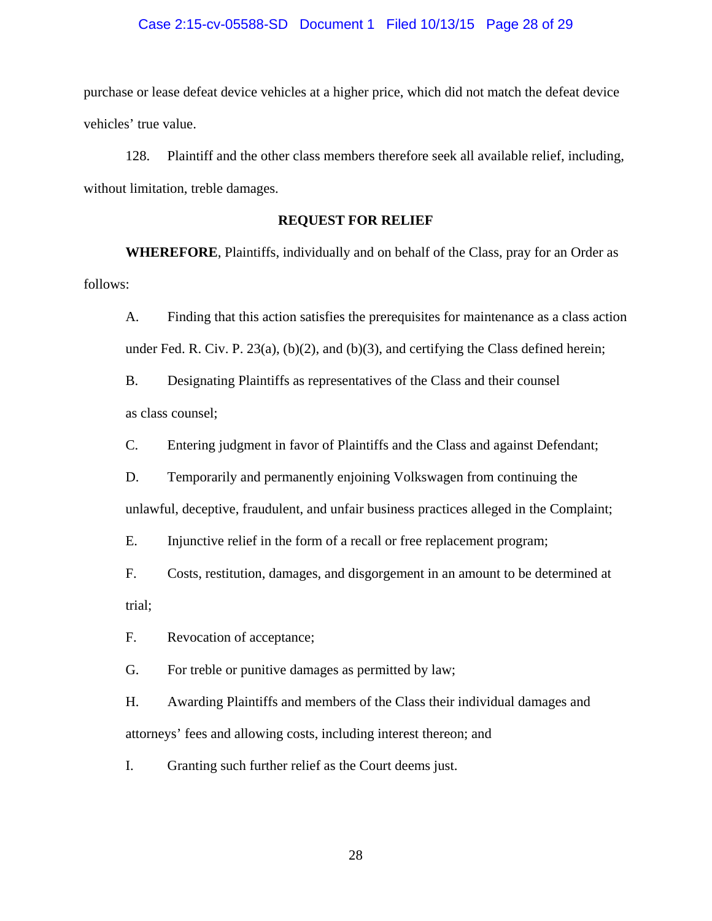#### Case 2:15-cv-05588-SD Document 1 Filed 10/13/15 Page 28 of 29

purchase or lease defeat device vehicles at a higher price, which did not match the defeat device vehicles' true value.

128. Plaintiff and the other class members therefore seek all available relief, including, without limitation, treble damages.

### **REQUEST FOR RELIEF**

**WHEREFORE**, Plaintiffs, individually and on behalf of the Class, pray for an Order as follows:

A. Finding that this action satisfies the prerequisites for maintenance as a class action under Fed. R. Civ. P. 23(a),  $(b)(2)$ , and  $(b)(3)$ , and certifying the Class defined herein;

B. Designating Plaintiffs as representatives of the Class and their counsel as class counsel;

C. Entering judgment in favor of Plaintiffs and the Class and against Defendant;

D. Temporarily and permanently enjoining Volkswagen from continuing the unlawful, deceptive, fraudulent, and unfair business practices alleged in the Complaint;

E. Injunctive relief in the form of a recall or free replacement program;

F. Costs, restitution, damages, and disgorgement in an amount to be determined at trial;

F. Revocation of acceptance;

G. For treble or punitive damages as permitted by law;

H. Awarding Plaintiffs and members of the Class their individual damages and attorneys' fees and allowing costs, including interest thereon; and

I. Granting such further relief as the Court deems just.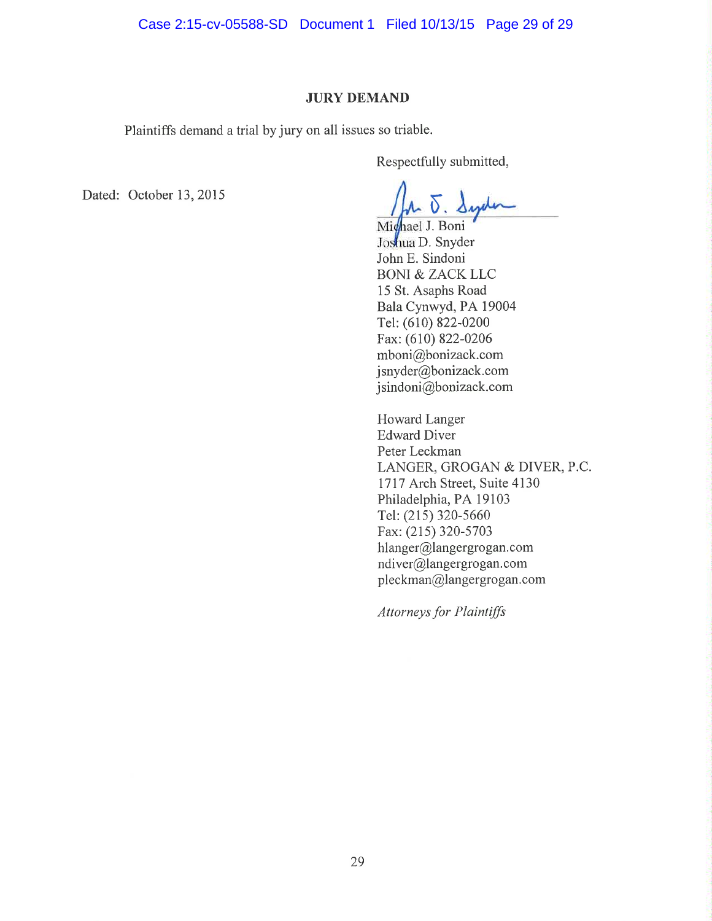Case 2:15-cv-05588-SD Document 1 Filed 10/13/15 Page 29 of 29

### **JURY DEMAND**

Plaintiffs demand a trial by jury on all issues so triable.

Respectfully submitted,

Dated: October 13, 2015

Mighael J. Boni Joshua D. Snyder John E. Sindoni **BONI & ZACK LLC** 15 St. Asaphs Road Bala Cynwyd, PA 19004 Tel: (610) 822-0200 Fax: (610) 822-0206 mboni@bonizack.com jsnyder@bonizack.com jsindoni@bonizack.com

Howard Langer **Edward Diver** Peter Leckman LANGER, GROGAN & DIVER, P.C. 1717 Arch Street, Suite 4130 Philadelphia, PA 19103 Tel: (215) 320-5660 Fax: (215) 320-5703 hlanger@langergrogan.com ndiver@langergrogan.com pleckman@langergrogan.com

**Attorneys for Plaintiffs**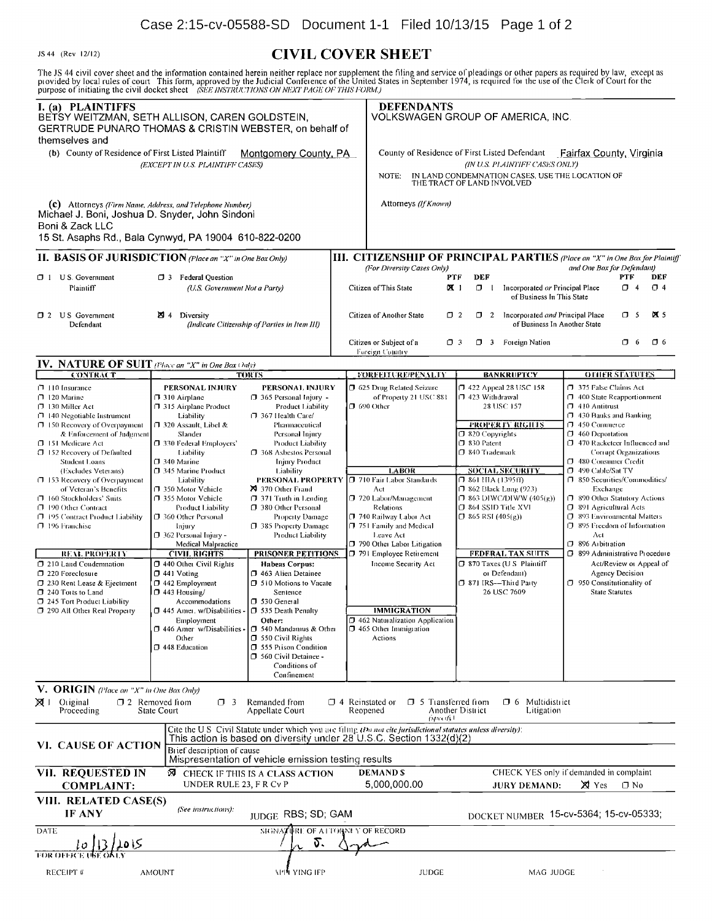## JS <sup>44</sup> (Rev 12/12) CIVIL COVER SHEET

The JS 44 civil cover sheet and the information contained herein neither replace nor supplement the filing and service of pleadings or other papers as required by law, except as<br>provided by local rules of court This form,

| purpose of initiating the Civil docket sheet (SEE INSTRUCTIONS ON NEXT PAGE OF THIS PONM.)                                                             |                                                            |                                                           |                        |                                                                                                              |                              |                                                                            |                                                                                                                  |
|--------------------------------------------------------------------------------------------------------------------------------------------------------|------------------------------------------------------------|-----------------------------------------------------------|------------------------|--------------------------------------------------------------------------------------------------------------|------------------------------|----------------------------------------------------------------------------|------------------------------------------------------------------------------------------------------------------|
| <b>I.</b> (a) PLAINTIFFS<br>BETSY WEITZMAN, SETH ALLISON, CAREN GOLDSTEIN,<br>GERTRUDE PUNARO THOMAS & CRISTIN WEBSTER, on behalf of<br>themselves and |                                                            |                                                           |                        | <b>DEFENDANTS</b><br>VOLKSWAGEN GROUP OF AMERICA, INC                                                        |                              |                                                                            |                                                                                                                  |
| (b) County of Residence of First Listed Plaintiff                                                                                                      |                                                            | Montgomery County, PA                                     |                        | County of Residence of First Listed Defendant                                                                |                              |                                                                            | Fairfax County, Virginia                                                                                         |
|                                                                                                                                                        | (EXCEPT IN U.S. PLAINTIFF CASES)                           |                                                           |                        |                                                                                                              |                              | (IN U.S. PLAINTIFF CASES ONLY)                                             |                                                                                                                  |
|                                                                                                                                                        |                                                            |                                                           |                        | NOTE:                                                                                                        |                              | IN LAND CONDEMNATION CASES, USE THE LOCATION OF THE TRACT OF LAND INVOLVED |                                                                                                                  |
| (c) Attorneys (Firm Name, Address, and Telephone Number)<br>Michael J. Boni, Joshua D. Snyder, John Sindoni                                            |                                                            |                                                           |                        | Attorneys (If Known)                                                                                         |                              |                                                                            |                                                                                                                  |
| Boni & Zack LLC                                                                                                                                        |                                                            |                                                           |                        |                                                                                                              |                              |                                                                            |                                                                                                                  |
| 15 St. Asaphs Rd., Bala Cynwyd, PA 19004 610-822-0200                                                                                                  |                                                            |                                                           |                        |                                                                                                              |                              |                                                                            |                                                                                                                  |
| II. BASIS OF JURISDICTION (Place an "X" in One Box Only)                                                                                               |                                                            |                                                           |                        | (For Diversity Cases Only)                                                                                   |                              |                                                                            | <b>III. CITIZENSHIP OF PRINCIPAL PARTIES</b> (Place an "X" in One Box for Plainty)<br>and One Box for Defendant) |
| $\Box$ 1 U S. Government                                                                                                                               | <b>3</b> Federal Question                                  |                                                           |                        |                                                                                                              | DEF<br>PTF                   |                                                                            | PTF<br>DEF                                                                                                       |
| Plaintiff                                                                                                                                              | (U.S. Government Not a Party)                              |                                                           |                        | Citizen of This State                                                                                        | $\mathbf{X}$ 1<br>$\sigma$ + | Incorporated or Principal Place<br>of Business In This State               | $\Box$ 4<br>O 4                                                                                                  |
| 12 US Government<br>Defendant                                                                                                                          | <b>因</b> 4 Diversity                                       | (Indicate Citizenship of Parties in Item III)             |                        | Citizen of Another State                                                                                     | $\square$ 2<br>$\Box$ 2      | Incorporated and Principal Place<br>of Business In Another State           | ×б<br>$\Box$ 5                                                                                                   |
|                                                                                                                                                        |                                                            |                                                           |                        | Citizen or Subject of a<br>Fureign Country                                                                   | $\Box$ 3<br>$\Box$ 3         | Foreign Nation                                                             | CJ 6<br>O 6                                                                                                      |
| <b>IV. NATURE OF SUIT</b> (Place an "X" in One Box Only)                                                                                               |                                                            |                                                           |                        |                                                                                                              |                              |                                                                            |                                                                                                                  |
| <b>CONTRACT</b>                                                                                                                                        |                                                            | <b>TORTS</b>                                              |                        | <b>FORFEITURE/PENALTY</b>                                                                                    |                              | <b>BANKRUPTCY</b>                                                          | O THER STATUTES                                                                                                  |
| 110 Insurance                                                                                                                                          | PERSONAL INJURY                                            | PERSONAL INJURY                                           |                        | 5 625 Drug Related Seizure                                                                                   |                              | <b>7</b> 422 Appeal 28 USC 158                                             | 7 375 False Claims Act                                                                                           |
| $\Box$ 120 Marine<br>17 130 Miller Act                                                                                                                 | 7 310 Airplane<br>7 315 Airplane Product                   | 1365 Personal Injury -<br>Product Liability               |                        | of Property 21 USC 881<br>$\square$ 690 Other                                                                |                              | 7 423 Withdrawal<br>28 USC 157                                             | □ 400 State Reapportionment<br>17 410 Antitrust                                                                  |
| 140 Negotiable Instrument                                                                                                                              | Liability                                                  | □ 367 Health Care/                                        |                        |                                                                                                              |                              |                                                                            | (7 430 Bauks and Banking                                                                                         |
| □ 150 Recovery of Overpayment                                                                                                                          | 7 320 Assault, Libel &                                     | Pharmaceutical                                            |                        |                                                                                                              |                              | <b>PROPERTY RIGHTS</b>                                                     | 17 450 Commerce                                                                                                  |
| & Enforcement of Indument<br><b>El 151 Medicare Act</b>                                                                                                | Slander<br>□ 330 Federal Employers'                        | Personal Injury<br><b>Product Liability</b>               |                        |                                                                                                              | $\square$ 830 Patent         | □ 820 Copyrights                                                           | 1 460 Deportation<br>1 470 Racketeer Influenced and                                                              |
| 152 Recovery of Defaulted                                                                                                                              | Liability                                                  | □ 368 Asbestos Personal                                   |                        |                                                                                                              |                              | □ 840 Trademark                                                            | Corrupt Organizations                                                                                            |
| Student Loans                                                                                                                                          | $\square$ 340 Marine                                       | <b>Injury Product</b>                                     |                        |                                                                                                              |                              |                                                                            | 1 480 Consumer Credit                                                                                            |
| (Excludes Veterans)<br>□ 153 Recovery of Overpayment                                                                                                   | □ 345 Marine Product<br>Liability                          | Liability<br>PERSONAL PROPERTY   710 Fair Labor Standards |                        | <b>LABOR</b>                                                                                                 |                              | <b>SOCIAL SECURITY</b><br>$\Box$ 861 HIA (1395ff)                          | 1 490 Cable/Sat TV<br>□ 850 Securities/Commodities/                                                              |
| of Veteran's Benefits                                                                                                                                  | 7 350 Motor Vehicle                                        | ■ 370 Other Fraud                                         |                        | Act                                                                                                          |                              | 7 862 Black Lung (923)                                                     | Exchange                                                                                                         |
| [7] 160 Stockholders' Suits                                                                                                                            | □ 355 Motor Vehicle                                        | 17 371 Truth in Lending                                   |                        | 720 Labor/Management                                                                                         |                              | $\Box$ 863 DIWC/DIWW (405(g))                                              | 17 890 Other Statutory Actions                                                                                   |
| □ 190 Other Contract<br>17-195 Contract Product Liability                                                                                              | <b>Product Liability</b><br>□ 360 Other Personal           | □ 380 Other Personal<br>Property Damage                   |                        | Relations<br>740 Railway Labor Act                                                                           |                              | □ 864 SSID Title XVI<br>$\Box$ 865 RSI (405(g))                            | <sup>1</sup> 891 Agricultural Acts<br><b>J</b> 893 Environmental Matters                                         |
| $\Box$ 196 Franchise                                                                                                                                   | Injury                                                     | □ 385 Property Damage                                     |                        | 17 751 Family and Medical                                                                                    |                              |                                                                            | 1 895 Freedom of Information                                                                                     |
|                                                                                                                                                        | □ 362 Personal Injury -<br>Medical Malpractice             | Product Liability                                         |                        | Leave Act<br>790 Other Labor Litigation                                                                      |                              |                                                                            | Act<br>7 896 Arbitration                                                                                         |
| <b>REAL PROPERTY</b>                                                                                                                                   | <b>CIVIL RIGHTS</b>                                        | <b>PRISONER PETITIONS</b>                                 |                        | 791 Employee Retirement                                                                                      |                              | FEDERAL TAX SUITS                                                          | 5 899 Administrative Procedure                                                                                   |
| 1 210 Land Condemnation                                                                                                                                | <b>J</b> 440 Other Civil Rights                            | <b>Habeas Corpus:</b>                                     |                        | Income Security Act                                                                                          |                              | <b>370 Taxes (U.S. Plaintiff)</b>                                          | Act/Review or Appeal of                                                                                          |
| 220 Foreclosure                                                                                                                                        | $\Box$ 441 Voting                                          | 1 463 Alien Detainee                                      |                        |                                                                                                              |                              | or Defendant)                                                              | Agency Decision                                                                                                  |
| 7 230 Rent Lease & Ejectment<br>240 Torts to Land                                                                                                      | $\square$ 442 Employment<br>$\square$ 443 Housing/         | □ 510 Motions to Vacate<br>Sentence                       |                        |                                                                                                              |                              | 7 871 IRS-Third Party<br>26 USC 7609                                       | □ 950 Constitutionality of<br><b>State Statutes</b>                                                              |
| 245 Tort Product Liability                                                                                                                             | Accommodations                                             | □ 530 General                                             |                        |                                                                                                              |                              |                                                                            |                                                                                                                  |
| 290 All Other Real Property                                                                                                                            | $\Box$ 445 Amer, w/Disabilities - $\Box$ 535 Death Penalty |                                                           |                        | <b>IMMIGRATION</b>                                                                                           |                              |                                                                            |                                                                                                                  |
|                                                                                                                                                        | Employment<br>446 Amer w/Disabilities -                    | Other:<br>□ 540 Mandamus & Other                          |                        | □ 462 Naturalization Application<br>$\square$ 465 Other Immigration                                          |                              |                                                                            |                                                                                                                  |
|                                                                                                                                                        | Other                                                      | $\Box$ 550 Civil Rights                                   |                        | Actions                                                                                                      |                              |                                                                            |                                                                                                                  |
|                                                                                                                                                        | □ 448 Education                                            | □ 555 Prison Condition<br>560 Civil Detainee -            |                        |                                                                                                              |                              |                                                                            |                                                                                                                  |
|                                                                                                                                                        |                                                            | Conditions of                                             |                        |                                                                                                              |                              |                                                                            |                                                                                                                  |
|                                                                                                                                                        |                                                            | Confinement                                               |                        |                                                                                                              |                              |                                                                            |                                                                                                                  |
| <b>V. ORIGIN</b> (Place an "X" in One Box Only)                                                                                                        |                                                            |                                                           |                        |                                                                                                              |                              |                                                                            |                                                                                                                  |
| $\boxtimes$ 1 Original<br>Proceeding                                                                                                                   | $\square$ 2 Removed from<br>$\Box$ 3<br><b>State Court</b> | Remanded from<br>Appellate Court                          | $\Box$ 4 Reinstated or | $\Box$ 5 Transferred from<br>Reopened<br>Ans di L                                                            | Another District             | Multidistrict<br>O 6<br>Litigation                                         |                                                                                                                  |
|                                                                                                                                                        |                                                            |                                                           |                        | Cite the U S Civil Statute under which you are filmg (Do not cite jurisdictional statutes unless diversity): |                              |                                                                            |                                                                                                                  |
| <b>VI. CAUSE OF ACTION</b>                                                                                                                             |                                                            |                                                           |                        | This action is based on diversity under 28 U.S.C. Section 1332(d)(2)                                         |                              |                                                                            |                                                                                                                  |
|                                                                                                                                                        | Brief description of cause                                 |                                                           |                        |                                                                                                              |                              |                                                                            |                                                                                                                  |
|                                                                                                                                                        |                                                            | Mispresentation of vehicle emission testing results       |                        |                                                                                                              |                              |                                                                            |                                                                                                                  |
| VII. REQUESTED IN<br><b>COMPLAINT:</b>                                                                                                                 | ×.<br>UNDER RULE 23, FR Cv P                               | CHECK IF THIS IS A CLASS ACTION                           |                        | <b>DEMANDS</b><br>5,000,000.00                                                                               |                              | <b>JURY DEMAND:</b>                                                        | CHECK YES only if demanded in complaint<br><b>XI</b> Yes<br>$\Box$ No                                            |
| VIII. RELATED CASE(S)<br>IF ANY                                                                                                                        | (See instructions):                                        | JUDGE RBS; SD; GAM                                        |                        |                                                                                                              |                              |                                                                            | DOCKET NUMBER 15-cv-5364; 15-cv-05333;                                                                           |
|                                                                                                                                                        |                                                            |                                                           |                        |                                                                                                              |                              |                                                                            |                                                                                                                  |
| DATE<br>کا ہ                                                                                                                                           |                                                            | SIGNATURE OF A LTORNEY OF RECORD<br>δ.                    |                        |                                                                                                              |                              |                                                                            |                                                                                                                  |
| FOR OFFICE USE OA LY<br>RECEIPT#                                                                                                                       | <b>AMOUNT</b>                                              | <b>APPEYING IFP</b>                                       |                        | <b>JUDGE</b>                                                                                                 |                              | MAG JUDGE                                                                  |                                                                                                                  |
|                                                                                                                                                        |                                                            |                                                           |                        |                                                                                                              |                              |                                                                            |                                                                                                                  |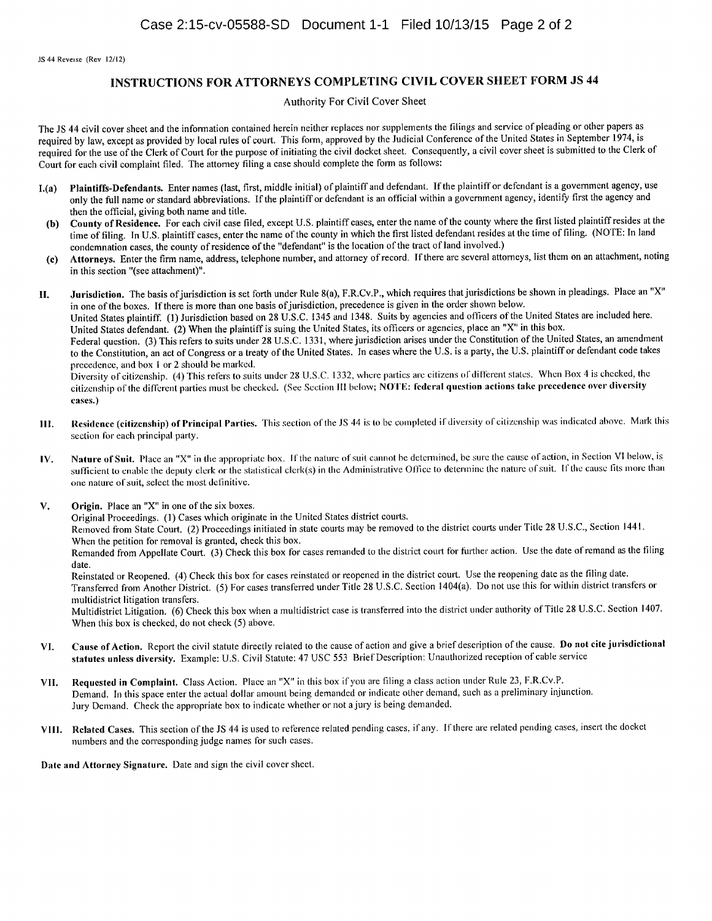JS 44 Reveise (Rev 12/12)

### INSTRUCTIONS FOR ATTORNEYS COMPLETING CIVIL COVER SHEET FORM JS 44

Authority For Civil Cover Sheet

The JS <sup>44</sup> civil cover sheet and the information contained herein neither replaces nor supplements the filings and service of pleading or other papers as required by law, except as provided by local rules of court. This form, approved by the Judicial Conference of the United States in September 1974, is required for the use of the Clerk of Court for the purpose of initiating the civil docket sheet. Consequently, <sup>a</sup> civil cover sheet is submitted to the Clerk of Court for each civil complaint filed. The attorney filing <sup>a</sup> case should complete the form as follows:

- I.(a) Plaintiffs-Defendants. Enter names (last, first, middle initial) of plaintiff and defendant. If the plaintiff or defendant is a government agency, use only the full name or standard abbreviations. Ifthe plaintiff or defendant is an official within <sup>a</sup> government agency, identify first the agency and then the official, giving both name and title.
	- (b) County of Residence. For each civil case filed, except U.S. plaintiff cases, enter the name of the county where the first listed plaintiff resides at the time of filing. In U.S. plaintiff cases, enter the name of the county in which the first listed defendant resides at the time of filing. (NOTE: In land condemnation cases, the county ofresidence of the "defendant" is the location of the tract of land involved.)
- (c) Attorneys. Enter the firm name, address, telephone number, and attorney ofrecord. Ifthere are several attorneys, list them on an attachment, noting in this section "(see attachment)".

II. Jurisdiction. The basis ofjurisdiction is set forth under Rule 8(a), F.R.Cv.P., which requires that jurisdictions be shown in pleadings. Place an "X" in one of the boxes. If there is more than one basis of jurisdiction, precedence is given in the order shown below. United States plaintiff. (1) Jurisdiction based on <sup>28</sup> U.S.C. <sup>1345</sup> and 1348. Suits by agencies and officers ofthe United States are included here. United States defendant. (2) When the plaintiff is suing the United States, its officers or agencies, place an "X" in this box. Federal question. (3) This refers to suits under <sup>28</sup> U.S.C. 1331, where jurisdiction arises under the Constitution of the United States, an amendment to the Constitution, an act of Congress or <sup>a</sup> treaty of the United States. In cases where the U.S. is <sup>a</sup> party, the U.S. plaintiff or defendant code takes precedence, and box <sup>1</sup> or 2 should be marked. Diversity of citizenship. (4) This refers to suits under <sup>28</sup> U.S.C. 1332, where parties are citizens of different states. When Box <sup>4</sup> is checked, the citizenship of the different parties must be checked. (See Section III below; NOTE: federal question actions take precedence over diversity cases.)

- III. Residence (citizenship) of Principal Parties. This section of the JS 44 is to be completed if diversity of citizenship was indicated above. Mark this section for each principal party.
- IV. Nature of Suit. Place an "X" in the appropriate box. If the nature of suit cannot be determined, be sure the cause of action, in Section VI below, is. sufficient to enable the deputy clerk or the statistical clerk(s) in the Administrative Office to determine the nature of suit. If the cause fits more than one nature of suit, select the most definitive.
- V. Origin. Place an "X" in one of the six boxes.

Original Proceedings. (1) Cases which originate in the United States district courts.

Removed from State Court. (2) Proceedings initiated in state courts may be removed to the district courts under Title <sup>28</sup> U.S.C., Section 1441. When the petition for removal is granted, check this box.

Remanded from Appellate Court. (3) Check this box for cases remanded to the district court for further action. Use the date of remand as the filing date.

Reinstated or Reopened. (4) Check this box for cases reinstated or reopened in the district court. Use the reopening date as the filing date. Transferred from Another District. (5) For cases transferred under Title <sup>28</sup> U.S.C. Section 1404(a). Do not use this for within district transfers or multidistrict litigation transfers.

Multidistrict Litigation. (6) Check this box when <sup>a</sup> multidistrict case is transferred into the district under authority of Title <sup>28</sup> U.S.C. Section 1407. When this box is checked, do not check (5) above.

- VI. Cause of Action. Report the civil statute directly related to the cause of action and give <sup>a</sup> brief description of the cause. Do not cite jurisdictional statutes unless diversity. Example: U.S. Civil Statute: <sup>47</sup> USC <sup>553</sup> Brief Description: Unauthorized reception of cable service
- VII. Requested in Complaint. Class Action. Place an "X" in this box if you are filing a class action under Rule 23, F.R.Cv.P. Demand. In this space enter the actual dollar amount being demanded or indicate other demand, such as <sup>a</sup> preliminary injunction. Jury Demand. Check the appropriate box to indicate whether or not <sup>a</sup> jury is being demanded.
- VIII. Related Cases. This section of the JS 44 is used to reference related pending cases, if any. If there are related pending cases, insert the docket numbers and the corresponding judge names for such cases.

Date and Attorney Signature. Date and sign the civil cover sheet.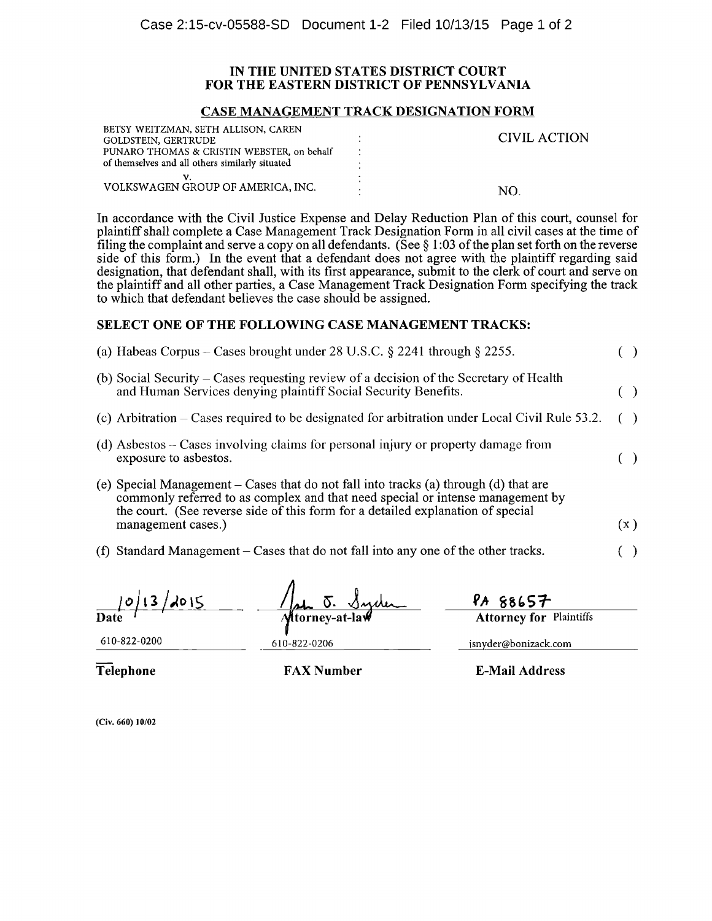#### IN THE UNITED STATES DISTRICT COURT FOR THE EASTERN DISTRICT OF PENNSYLVANIA

#### CASE MANAGEMENT TRACK DESIGNATION FORM

| BETSY WEITZMAN, SETH ALLISON, CAREN<br>GOLDSTEIN, GERTRUDE<br>PUNARO THOMAS & CRISTIN WEBSTER, on behalf<br>of themselves and all others similarly situated | CIVIL ACTION |
|-------------------------------------------------------------------------------------------------------------------------------------------------------------|--------------|
| VOLKSWAGEN GROUP OF AMERICA, INC.                                                                                                                           | NΩ           |

In accordance with the Civil Justice Expense and Delay Reduction Plan of this court, counsel for plaintiff shall complete <sup>a</sup> Case Management Track Designation Form in all civil cases at the time of filing the complaint and serve a copy on all defendants. (See  $\S$  1:03 of the plan set forth on the reverse side of this form.) In the event that a defendant does not agree with the plaintiff regarding said designation, that defendant shall, with its first appearance, submit to the clerk of court and serve on the plaintiff and all other parties, <sup>a</sup> Case Management Track Designation Form specifying the track to which that defendant believes the case should be assigned.

### SELECT ONE OF THE FOLLOWING CASE MANAGEMENT TRACKS:

| (a) Habeas Corpus – Cases brought under 28 U.S.C. $\S$ 2241 through $\S$ 2255.                                                                                                                                                                                                  | $($ )  |
|---------------------------------------------------------------------------------------------------------------------------------------------------------------------------------------------------------------------------------------------------------------------------------|--------|
| (b) Social Security – Cases requesting review of a decision of the Secretary of Health<br>and Human Services denying plaintiff Social Security Benefits.                                                                                                                        | $($ )  |
| (c) Arbitration – Cases required to be designated for arbitration under Local Civil Rule 53.2.                                                                                                                                                                                  | ( )    |
| (d) Asbestos – Cases involving claims for personal injury or property damage from<br>exposure to asbestos.                                                                                                                                                                      | $(\ )$ |
| (e) Special Management – Cases that do not fall into tracks (a) through (d) that are<br>commonly referred to as complex and that need special or intense management by<br>the court. (See reverse side of this form for a detailed explanation of special<br>management cases.) | (x)    |
| (f) Standard Management – Cases that do not fall into any one of the other tracks.                                                                                                                                                                                              | $($ )  |

| 2015                       | $\frac{1}{\sqrt{1-\frac{0}{\sqrt{1-\frac{0}{0}}}}}}$ | <b>PA 88657</b>                |
|----------------------------|------------------------------------------------------|--------------------------------|
| $\overline{\mathbf{Date}}$ |                                                      | <b>Attorney for Plaintiffs</b> |
| 610-822-0200               | 610-822-0206                                         | jsnyder@bonizack.com           |
|                            |                                                      |                                |

Telephone **FAX Number** E-Mail Address

(Civ. 660) 10/02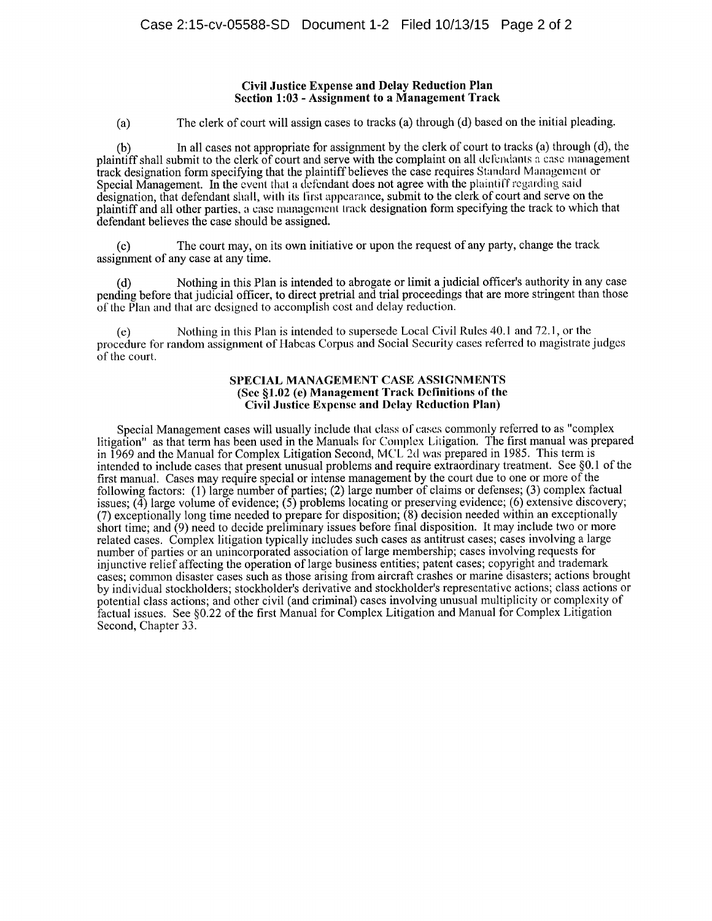#### Civil Justice Expense and Delay Reduction Plan Section 1:03 - Assignment to a Management Track

(a) The clerk of court will assign cases to tracks (a) through (d) based on the initial pleading.

(b) In all cases not appropriate for assignment by the clerk of court to tracks (a) through (d), the plaintiff shall submit to the clerk of court and serve with the complaint on all defendants <sup>a</sup> case management track designation form specifying that the plaintiff believes the case requires Standard Management or Special Management. In the event that a defendant does not agree with the plaintiff regarding said designation, that defendant shall, with its first appearance, submit to the clerk of court and serve on the plaintiff and all other parties, <sup>a</sup> ease management track designation form specifying the track to which that defendant believes the case should be assigned.

(c) The court may, on its own initiative or upon the request of any party, change the track assignment of any case at any time.

(d) Nothing in this Plan is intended to abrogate or limit <sup>a</sup> judicial officer's authority in any case pending before that judicial officer, to direct pretrial and trial proceedings that are more stringent than those of the Plan and that are designed to accomplish cost and delay reduction.

(e) Nothing in this Plan is intended to supersede Local Civil Rules 40.1 and 72.1, or the procedure for random assignment ofHabeas Corpus and Social Security cases referred to magistrate judges of the court.

#### SPECIAL MANAGEMENT CASE ASSIGNMENTS (See §1.02 (e) Management Track Definitions of the Civil Justice Expense and Delay Reduction Plan)

Special Management cases will usually include that class of cases commonly referred to as "complex litigation" as that term has been used in the Manuals for Complex Litigation. The first manual was prepared in <sup>1969</sup> and the Manual for Complex Litigation Second, MCL 2d was prepared in 1985. This term is intended to include cases that present unusual problems and require extraordinary treatment. See §0.1 of the first manual. Cases may require special or intense management by the court due to one or more of the following factors: (1) large number of parties; (2) large number of claims or defenses; (3) complex factual issues; (4) large volume of evidence; (5) problems locating or preserving evidence; (6) extensive discovery; (7) exceptionally long time needed to prepare for disposition; (8) decision needed within an exceptionally short time; and (9) need to decide preliminary issues before final disposition. It may include two or more related cases. Complex litigation typically includes such cases as antitrust cases; cases involving <sup>a</sup> large number of parties or an unincorporated association of large membership; cases involving requests for injunctive relief affecting the operation of large business entities; patent cases; copyright and trademark cases; common disaster cases such as those arising from aircraft crashes or marine disasters; actions brought by individual stockholders; stockholder's derivative and stockholder's representative actions; class actions or potential class actions; and other civil (and criminal) cases involving unusual multiplicity or complexity of factual issues. See §0.22 of the first Manual for Complex Litigation and Manual for Complex Litigation Second, Chapter 33.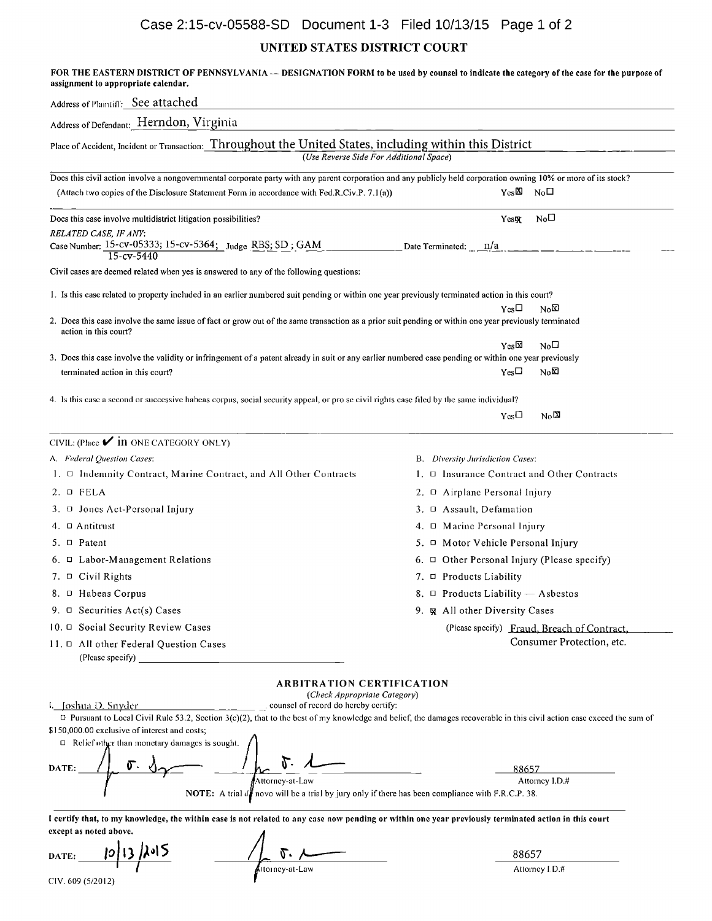# Case 2:15-cv-05588-SD Document 1-3 Filed 10/13/15 Page 1 of 2

### UNITED STATES DISTRICT COURT

| FOR THE EASTERN DISTRICT OF PENNSYLVANIA -- DESIGNATION FORM to be used by counsel to indicate the category of the case for the purpose of<br>assignment to appropriate calendar. |                                                                                        |
|-----------------------------------------------------------------------------------------------------------------------------------------------------------------------------------|----------------------------------------------------------------------------------------|
| Address of Pluintiff: See attached                                                                                                                                                |                                                                                        |
| Address of Defendant: Herndon, Virginia                                                                                                                                           |                                                                                        |
| Place of Accident, Incident or Transaction: Throughout the United States, including within this District<br>(Use Reverse Side For Additional Space)                               |                                                                                        |
| Does this civil action involve a nongovernmental corporate party with any parent corporation and any publicly held corporation owning 10% or more of its stock?                   |                                                                                        |
| (Attach two copies of the Disclosure Statement Form in accordance with Fed.R.Civ.P. 7.1(a))                                                                                       | $\gamma_{\rm cs}$ N<br>$_{\rm No}\Box$                                                 |
| Does this case involve multidistrict litigation possibilities?                                                                                                                    | No <sub>D</sub><br>Yestx                                                               |
| RELATED CASE, IF ANY:<br>Case Number: $\frac{15-cv-05333; 15-cv-5364;}{15-cv-5440}$ Judge RBS; SD; GAM                                                                            | Date Terminated: $\frac{n}{a}$                                                         |
| Civil cases are deemed related when yes is answered to any of the following questions:                                                                                            |                                                                                        |
| 1. Is this case related to property included in an earlier numbered suit pending or within one year previously terminated action in this court?                                   |                                                                                        |
|                                                                                                                                                                                   | $Ycs\Box$<br>No⊠                                                                       |
| 2. Does this case involve the same issue of fact or grow out of the same transaction as a prior suit pending or within one year previously terminated<br>action in this court?    |                                                                                        |
|                                                                                                                                                                                   | Yes⊠<br>мо⊡                                                                            |
| 3. Does this case involve the validity or infringement of a patent already in suit or any earlier numbered case pending or within one year previously                             |                                                                                        |
| terminated action in this court?                                                                                                                                                  | $\gamma_{\rm cs}$ $\Box$<br>Nο⊠                                                        |
| 4. Is this case a second or successive habeas corpus, social security appeal, or pro se civil rights case filed by the same individual?                                           |                                                                                        |
|                                                                                                                                                                                   | $Y_{\rm cs} \Box$<br>$N_0$ M                                                           |
|                                                                                                                                                                                   |                                                                                        |
| CIVIL: (Place ✔ in ONE CATEGORY ONLY)                                                                                                                                             |                                                                                        |
| A. Federal Question Cases:                                                                                                                                                        | <b>B.</b> Diversity Jurisdiction Cases:<br>1. D Insurance Contract and Other Contracts |
| 1. O Indemnity Contract, Marine Contract, and All Other Contracts                                                                                                                 |                                                                                        |
| $2. \Box$ FELA                                                                                                                                                                    | $2. \Box$ Airplane Personal Injury                                                     |
| 3. D Jones Act-Personal Injury                                                                                                                                                    | 3. □ Assault, Defamation                                                               |
| 4. $\Box$ Antitrust                                                                                                                                                               | 4. • Marine Personal Injury                                                            |
| $5. \Box$ Patent                                                                                                                                                                  | 5. D Motor Vehicle Personal Injury                                                     |
| 6. $\Box$ Labor-Management Relations                                                                                                                                              | 6. $\Box$ Other Personal Injury (Please specify)                                       |
| 7. $\Box$ Civil Rights                                                                                                                                                            | 7. $\Box$ Products Liability                                                           |
| 8. D Habeas Corpus                                                                                                                                                                | 8. □ Products Liability - Asbestos                                                     |
| 9. $\Box$ Securities Act(s) Cases                                                                                                                                                 | 9 & All other Diversity Cases                                                          |
| 10. D Social Security Review Cases                                                                                                                                                | (Please specify) Fraud, Breach of Contract,                                            |
| 11. □ All other Federal Question Cases                                                                                                                                            | Consumer Protection, etc.                                                              |
| <b>ARBITRATION CERTIFICATION</b>                                                                                                                                                  |                                                                                        |
| (Check Appropriate Category)<br><sup>1</sup> Joshua D. Snyder<br>$\frac{1}{2}$ = $\frac{1}{2}$ = $\frac{1}{2}$ = $\frac{1}{2}$ counsel of record do hereby certify:               |                                                                                        |
| D Pursuant to Local Civil Rule 53.2, Section 3(c)(2), that to the best of my knowledge and belief, the damages recoverable in this civil action case exceed the sum of            |                                                                                        |
| \$150,000.00 exclusive of interest and costs;                                                                                                                                     |                                                                                        |
| $\Box$ Relief other than monetary damages is sought.                                                                                                                              |                                                                                        |
|                                                                                                                                                                                   | 88657                                                                                  |
| Attorney-at-Law                                                                                                                                                                   | Attorney I.D.#                                                                         |
| NOTE: A trial d                                                                                                                                                                   | novo will be a trial by jury only if there has been compliance with F.R.C.P. 38.       |
| I certify that, to my knowledge, the within case is not related to any case now pending or within one year previously terminated action in this court<br>except as noted above.   |                                                                                        |
| 0 13 <br>r.,<br>DATE:                                                                                                                                                             | 88657                                                                                  |
| ltoiney-at-Law                                                                                                                                                                    | Attorney I.D.#                                                                         |
| CIV. 609 (5/2012)                                                                                                                                                                 |                                                                                        |